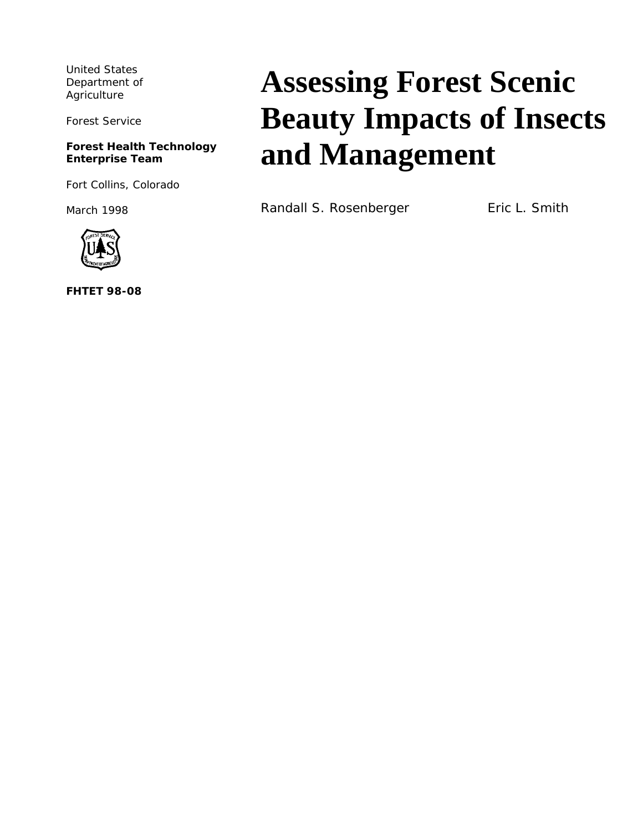United States Department of Agriculture

Forest Service

#### **Forest Health Technology Enterprise Team**

Fort Collins, Colorado

March 1998



**FHTET 98-08**

# **Assessing Forest Scenic Beauty Impacts of Insects and Management**

Randall S. Rosenberger Fric L. Smith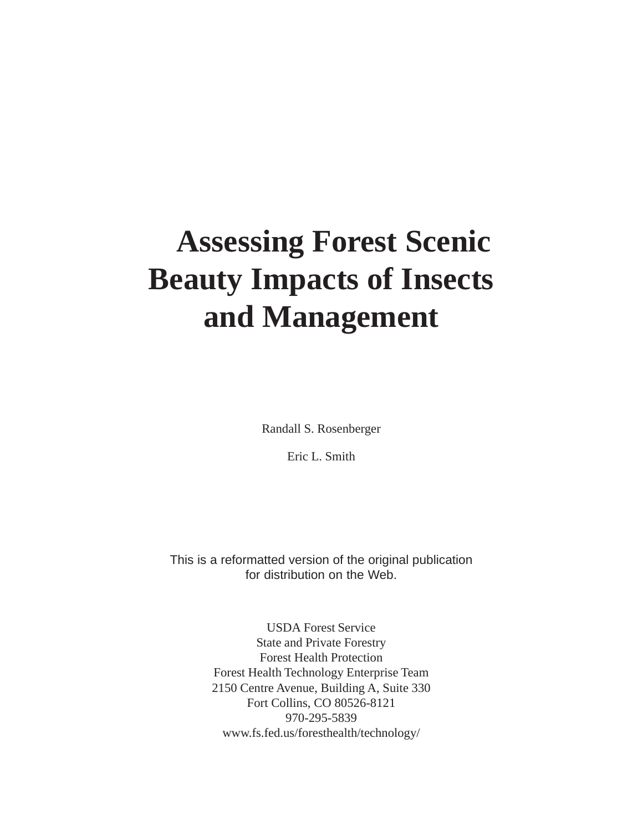# **Assessing Forest Scenic Beauty Impacts of Insects and Management**

Randall S. Rosenberger

Eric L. Smith

This is a reformatted version of the original publication for distribution on the Web.

> USDA Forest Service State and Private Forestry Forest Health Protection Forest Health Technology Enterprise Team 2150 Centre Avenue, Building A, Suite 330 Fort Collins, CO 80526-8121 970-295-5839 www.fs.fed.us/foresthealth/technology/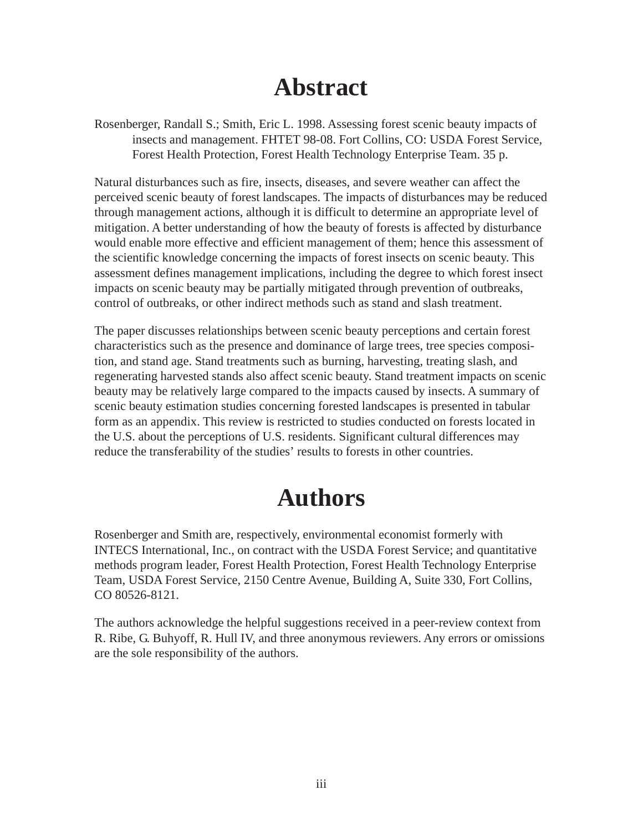### **Abstract**

Rosenberger, Randall S.; Smith, Eric L. 1998. Assessing forest scenic beauty impacts of insects and management. FHTET 98-08. Fort Collins, CO: USDA Forest Service, Forest Health Protection, Forest Health Technology Enterprise Team. 35 p.

Natural disturbances such as fire, insects, diseases, and severe weather can affect the perceived scenic beauty of forest landscapes. The impacts of disturbances may be reduced through management actions, although it is difficult to determine an appropriate level of mitigation. A better understanding of how the beauty of forests is affected by disturbance would enable more effective and efficient management of them; hence this assessment of the scientific knowledge concerning the impacts of forest insects on scenic beauty. This assessment defines management implications, including the degree to which forest insect impacts on scenic beauty may be partially mitigated through prevention of outbreaks, control of outbreaks, or other indirect methods such as stand and slash treatment.

The paper discusses relationships between scenic beauty perceptions and certain forest characteristics such as the presence and dominance of large trees, tree species composition, and stand age. Stand treatments such as burning, harvesting, treating slash, and regenerating harvested stands also affect scenic beauty. Stand treatment impacts on scenic beauty may be relatively large compared to the impacts caused by insects. A summary of scenic beauty estimation studies concerning forested landscapes is presented in tabular form as an appendix. This review is restricted to studies conducted on forests located in the U.S. about the perceptions of U.S. residents. Significant cultural differences may reduce the transferability of the studies' results to forests in other countries.

### **Authors**

Rosenberger and Smith are, respectively, environmental economist formerly with INTECS International, Inc., on contract with the USDA Forest Service; and quantitative methods program leader, Forest Health Protection, Forest Health Technology Enterprise Team, USDA Forest Service, 2150 Centre Avenue, Building A, Suite 330, Fort Collins, CO 80526-8121.

The authors acknowledge the helpful suggestions received in a peer-review context from R. Ribe, G. Buhyoff, R. Hull IV, and three anonymous reviewers. Any errors or omissions are the sole responsibility of the authors.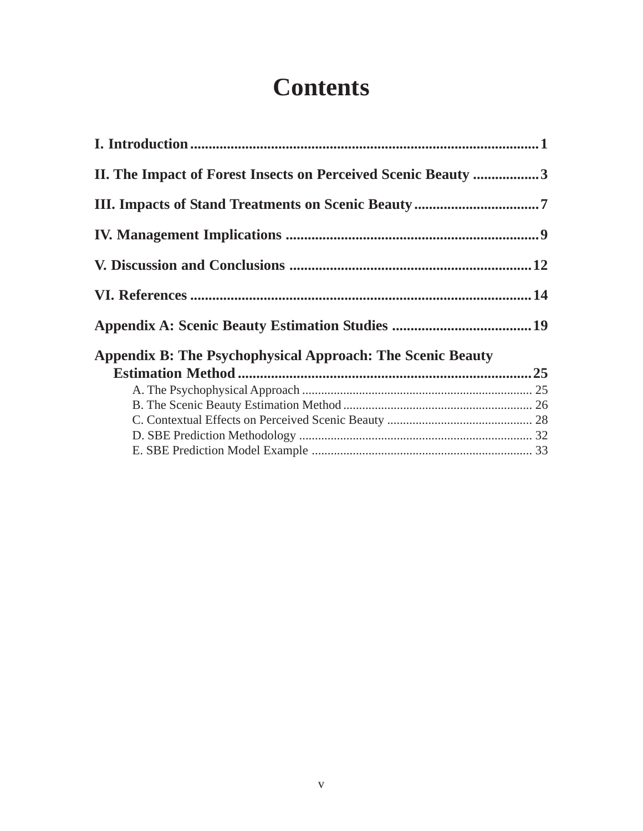### **Contents**

| II. The Impact of Forest Insects on Perceived Scenic Beauty 3     |  |
|-------------------------------------------------------------------|--|
|                                                                   |  |
|                                                                   |  |
|                                                                   |  |
|                                                                   |  |
|                                                                   |  |
| <b>Appendix B: The Psychophysical Approach: The Scenic Beauty</b> |  |
|                                                                   |  |
|                                                                   |  |
|                                                                   |  |
|                                                                   |  |
|                                                                   |  |
|                                                                   |  |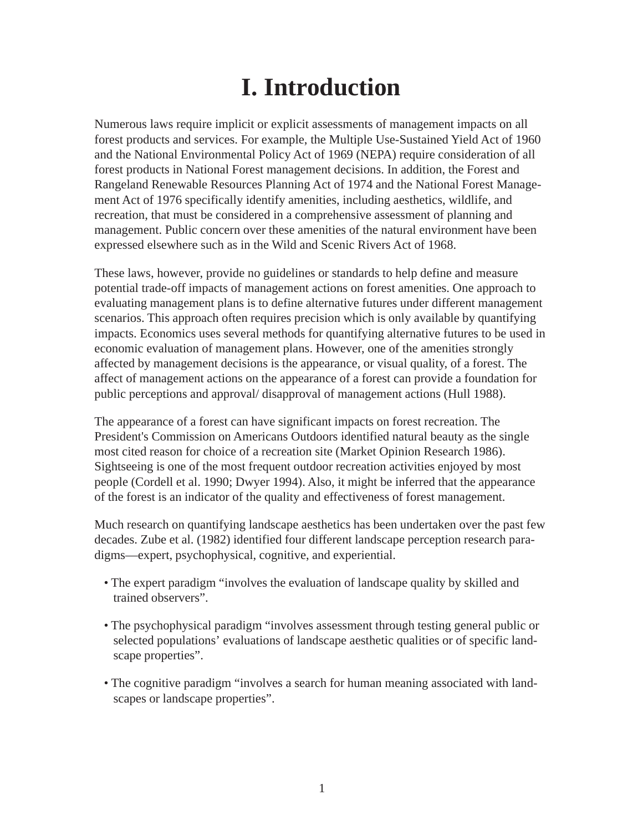## **I. Introduction**

Numerous laws require implicit or explicit assessments of management impacts on all forest products and services. For example, the Multiple Use-Sustained Yield Act of 1960 and the National Environmental Policy Act of 1969 (NEPA) require consideration of all forest products in National Forest management decisions. In addition, the Forest and Rangeland Renewable Resources Planning Act of 1974 and the National Forest Management Act of 1976 specifically identify amenities, including aesthetics, wildlife, and recreation, that must be considered in a comprehensive assessment of planning and management. Public concern over these amenities of the natural environment have been expressed elsewhere such as in the Wild and Scenic Rivers Act of 1968.

These laws, however, provide no guidelines or standards to help define and measure potential trade-off impacts of management actions on forest amenities. One approach to evaluating management plans is to define alternative futures under different management scenarios. This approach often requires precision which is only available by quantifying impacts. Economics uses several methods for quantifying alternative futures to be used in economic evaluation of management plans. However, one of the amenities strongly affected by management decisions is the appearance, or visual quality, of a forest. The affect of management actions on the appearance of a forest can provide a foundation for public perceptions and approval/ disapproval of management actions (Hull 1988).

The appearance of a forest can have significant impacts on forest recreation. The President's Commission on Americans Outdoors identified natural beauty as the single most cited reason for choice of a recreation site (Market Opinion Research 1986). Sightseeing is one of the most frequent outdoor recreation activities enjoyed by most people (Cordell et al. 1990; Dwyer 1994). Also, it might be inferred that the appearance of the forest is an indicator of the quality and effectiveness of forest management.

Much research on quantifying landscape aesthetics has been undertaken over the past few decades. Zube et al. (1982) identified four different landscape perception research paradigms—expert, psychophysical, cognitive, and experiential.

- The expert paradigm "involves the evaluation of landscape quality by skilled and trained observers".
- The psychophysical paradigm "involves assessment through testing general public or selected populations' evaluations of landscape aesthetic qualities or of specific landscape properties".
- The cognitive paradigm "involves a search for human meaning associated with landscapes or landscape properties".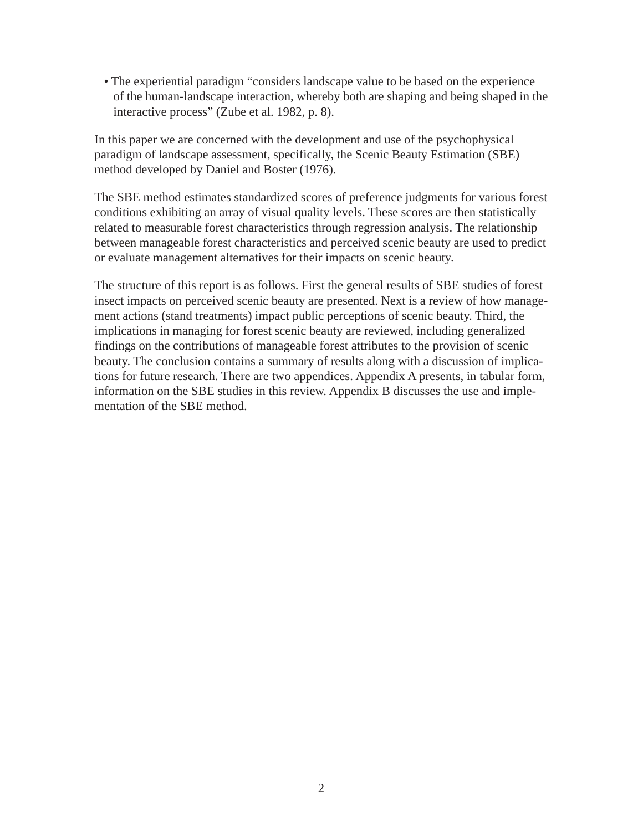• The experiential paradigm "considers landscape value to be based on the experience of the human-landscape interaction, whereby both are shaping and being shaped in the interactive process" (Zube et al. 1982, p. 8).

In this paper we are concerned with the development and use of the psychophysical paradigm of landscape assessment, specifically, the Scenic Beauty Estimation (SBE) method developed by Daniel and Boster (1976).

The SBE method estimates standardized scores of preference judgments for various forest conditions exhibiting an array of visual quality levels. These scores are then statistically related to measurable forest characteristics through regression analysis. The relationship between manageable forest characteristics and perceived scenic beauty are used to predict or evaluate management alternatives for their impacts on scenic beauty.

The structure of this report is as follows. First the general results of SBE studies of forest insect impacts on perceived scenic beauty are presented. Next is a review of how management actions (stand treatments) impact public perceptions of scenic beauty. Third, the implications in managing for forest scenic beauty are reviewed, including generalized findings on the contributions of manageable forest attributes to the provision of scenic beauty. The conclusion contains a summary of results along with a discussion of implications for future research. There are two appendices. Appendix A presents, in tabular form, information on the SBE studies in this review. Appendix B discusses the use and implementation of the SBE method.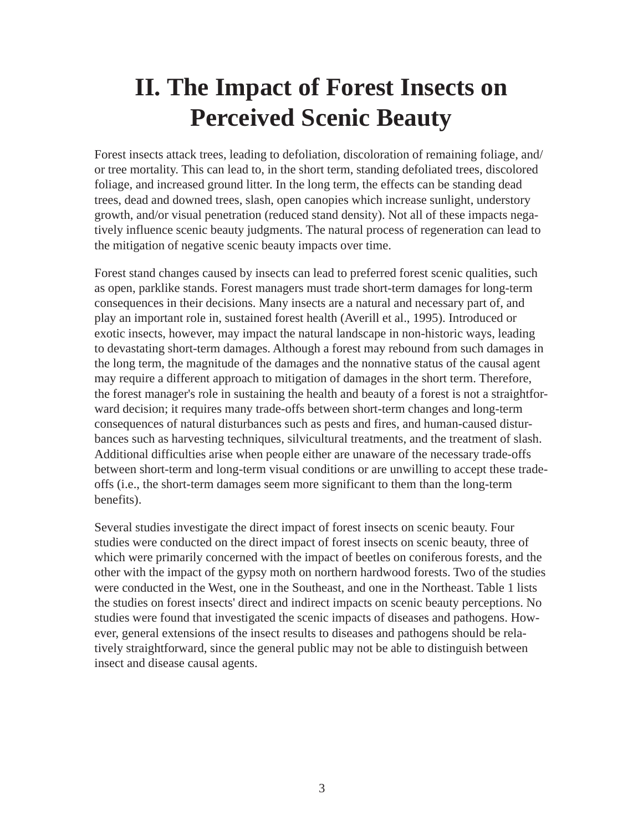### **II. The Impact of Forest Insects on Perceived Scenic Beauty**

Forest insects attack trees, leading to defoliation, discoloration of remaining foliage, and/ or tree mortality. This can lead to, in the short term, standing defoliated trees, discolored foliage, and increased ground litter. In the long term, the effects can be standing dead trees, dead and downed trees, slash, open canopies which increase sunlight, understory growth, and/or visual penetration (reduced stand density). Not all of these impacts negatively influence scenic beauty judgments. The natural process of regeneration can lead to the mitigation of negative scenic beauty impacts over time.

Forest stand changes caused by insects can lead to preferred forest scenic qualities, such as open, parklike stands. Forest managers must trade short-term damages for long-term consequences in their decisions. Many insects are a natural and necessary part of, and play an important role in, sustained forest health (Averill et al., 1995). Introduced or exotic insects, however, may impact the natural landscape in non-historic ways, leading to devastating short-term damages. Although a forest may rebound from such damages in the long term, the magnitude of the damages and the nonnative status of the causal agent may require a different approach to mitigation of damages in the short term. Therefore, the forest manager's role in sustaining the health and beauty of a forest is not a straightforward decision; it requires many trade-offs between short-term changes and long-term consequences of natural disturbances such as pests and fires, and human-caused disturbances such as harvesting techniques, silvicultural treatments, and the treatment of slash. Additional difficulties arise when people either are unaware of the necessary trade-offs between short-term and long-term visual conditions or are unwilling to accept these tradeoffs (i.e., the short-term damages seem more significant to them than the long-term benefits).

Several studies investigate the direct impact of forest insects on scenic beauty. Four studies were conducted on the direct impact of forest insects on scenic beauty, three of which were primarily concerned with the impact of beetles on coniferous forests, and the other with the impact of the gypsy moth on northern hardwood forests. Two of the studies were conducted in the West, one in the Southeast, and one in the Northeast. Table 1 lists the studies on forest insects' direct and indirect impacts on scenic beauty perceptions. No studies were found that investigated the scenic impacts of diseases and pathogens. However, general extensions of the insect results to diseases and pathogens should be relatively straightforward, since the general public may not be able to distinguish between insect and disease causal agents.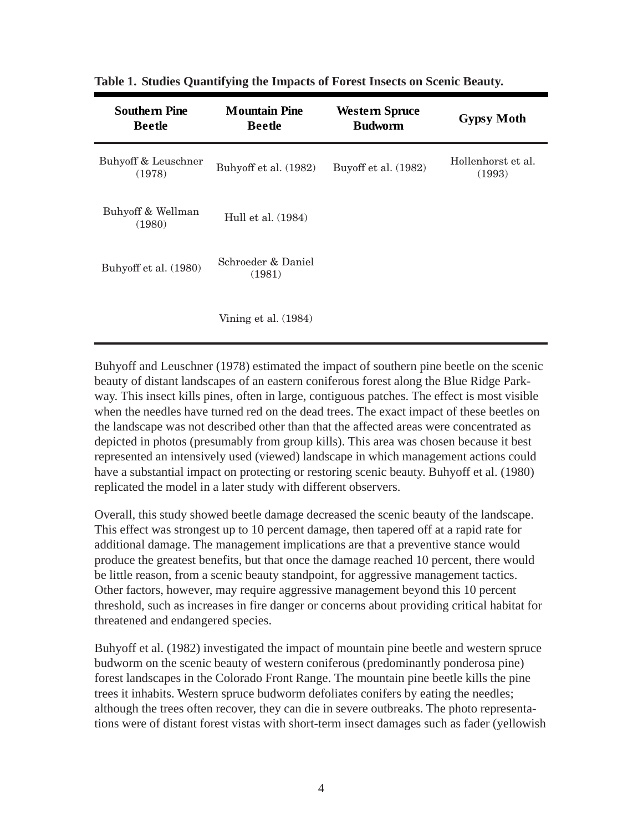| <b>Southern Pine</b><br><b>Beetle</b> | <b>Mountain Pine</b><br><b>Beetle</b> | <b>Western Spruce</b><br><b>Budworm</b> | <b>Gypsy Moth</b>            |
|---------------------------------------|---------------------------------------|-----------------------------------------|------------------------------|
| Buhyoff & Leuschner<br>(1978)         | Buhyoff et al. (1982)                 | Buyoff et al. (1982)                    | Hollenhorst et al.<br>(1993) |
| Buhyoff & Wellman<br>(1980)           | Hull et al. (1984)                    |                                         |                              |
| Buhyoff et al. (1980)                 | Schroeder & Daniel<br>(1981)          |                                         |                              |
|                                       | Vining et al. $(1984)$                |                                         |                              |

**Table 1. Studies Quantifying the Impacts of Forest Insects on Scenic Beauty.**

Buhyoff and Leuschner (1978) estimated the impact of southern pine beetle on the scenic beauty of distant landscapes of an eastern coniferous forest along the Blue Ridge Parkway. This insect kills pines, often in large, contiguous patches. The effect is most visible when the needles have turned red on the dead trees. The exact impact of these beetles on the landscape was not described other than that the affected areas were concentrated as depicted in photos (presumably from group kills). This area was chosen because it best represented an intensively used (viewed) landscape in which management actions could have a substantial impact on protecting or restoring scenic beauty. Buhyoff et al. (1980) replicated the model in a later study with different observers.

Overall, this study showed beetle damage decreased the scenic beauty of the landscape. This effect was strongest up to 10 percent damage, then tapered off at a rapid rate for additional damage. The management implications are that a preventive stance would produce the greatest benefits, but that once the damage reached 10 percent, there would be little reason, from a scenic beauty standpoint, for aggressive management tactics. Other factors, however, may require aggressive management beyond this 10 percent threshold, such as increases in fire danger or concerns about providing critical habitat for threatened and endangered species.

Buhyoff et al. (1982) investigated the impact of mountain pine beetle and western spruce budworm on the scenic beauty of western coniferous (predominantly ponderosa pine) forest landscapes in the Colorado Front Range. The mountain pine beetle kills the pine trees it inhabits. Western spruce budworm defoliates conifers by eating the needles; although the trees often recover, they can die in severe outbreaks. The photo representations were of distant forest vistas with short-term insect damages such as fader (yellowish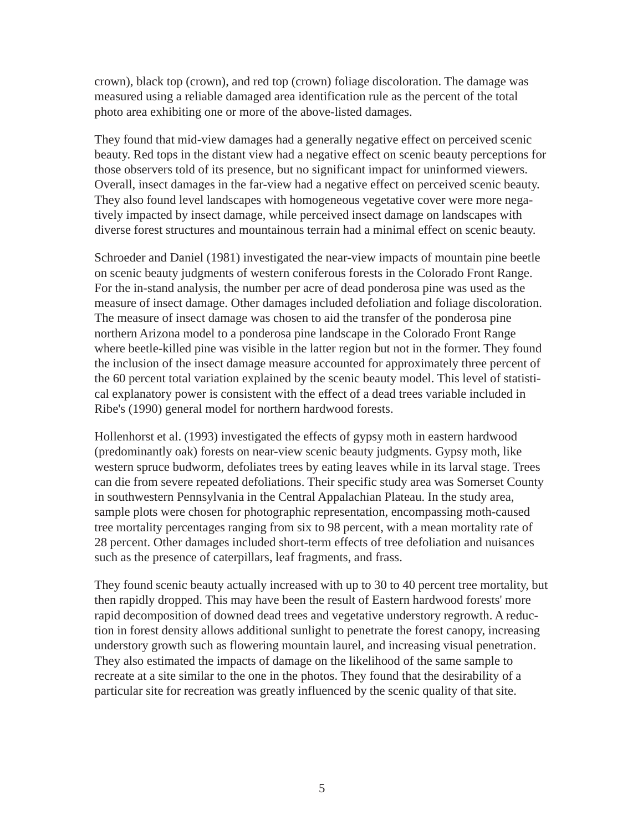crown), black top (crown), and red top (crown) foliage discoloration. The damage was measured using a reliable damaged area identification rule as the percent of the total photo area exhibiting one or more of the above-listed damages.

They found that mid-view damages had a generally negative effect on perceived scenic beauty. Red tops in the distant view had a negative effect on scenic beauty perceptions for those observers told of its presence, but no significant impact for uninformed viewers. Overall, insect damages in the far-view had a negative effect on perceived scenic beauty. They also found level landscapes with homogeneous vegetative cover were more negatively impacted by insect damage, while perceived insect damage on landscapes with diverse forest structures and mountainous terrain had a minimal effect on scenic beauty.

Schroeder and Daniel (1981) investigated the near-view impacts of mountain pine beetle on scenic beauty judgments of western coniferous forests in the Colorado Front Range. For the in-stand analysis, the number per acre of dead ponderosa pine was used as the measure of insect damage. Other damages included defoliation and foliage discoloration. The measure of insect damage was chosen to aid the transfer of the ponderosa pine northern Arizona model to a ponderosa pine landscape in the Colorado Front Range where beetle-killed pine was visible in the latter region but not in the former. They found the inclusion of the insect damage measure accounted for approximately three percent of the 60 percent total variation explained by the scenic beauty model. This level of statistical explanatory power is consistent with the effect of a dead trees variable included in Ribe's (1990) general model for northern hardwood forests.

Hollenhorst et al. (1993) investigated the effects of gypsy moth in eastern hardwood (predominantly oak) forests on near-view scenic beauty judgments. Gypsy moth, like western spruce budworm, defoliates trees by eating leaves while in its larval stage. Trees can die from severe repeated defoliations. Their specific study area was Somerset County in southwestern Pennsylvania in the Central Appalachian Plateau. In the study area, sample plots were chosen for photographic representation, encompassing moth-caused tree mortality percentages ranging from six to 98 percent, with a mean mortality rate of 28 percent. Other damages included short-term effects of tree defoliation and nuisances such as the presence of caterpillars, leaf fragments, and frass.

They found scenic beauty actually increased with up to 30 to 40 percent tree mortality, but then rapidly dropped. This may have been the result of Eastern hardwood forests' more rapid decomposition of downed dead trees and vegetative understory regrowth. A reduction in forest density allows additional sunlight to penetrate the forest canopy, increasing understory growth such as flowering mountain laurel, and increasing visual penetration. They also estimated the impacts of damage on the likelihood of the same sample to recreate at a site similar to the one in the photos. They found that the desirability of a particular site for recreation was greatly influenced by the scenic quality of that site.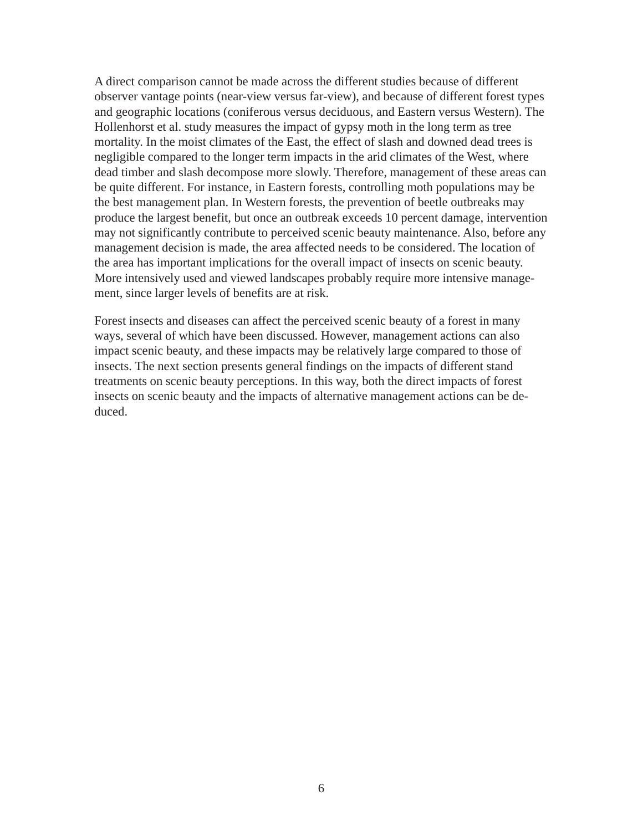A direct comparison cannot be made across the different studies because of different observer vantage points (near-view versus far-view), and because of different forest types and geographic locations (coniferous versus deciduous, and Eastern versus Western). The Hollenhorst et al. study measures the impact of gypsy moth in the long term as tree mortality. In the moist climates of the East, the effect of slash and downed dead trees is negligible compared to the longer term impacts in the arid climates of the West, where dead timber and slash decompose more slowly. Therefore, management of these areas can be quite different. For instance, in Eastern forests, controlling moth populations may be the best management plan. In Western forests, the prevention of beetle outbreaks may produce the largest benefit, but once an outbreak exceeds 10 percent damage, intervention may not significantly contribute to perceived scenic beauty maintenance. Also, before any management decision is made, the area affected needs to be considered. The location of the area has important implications for the overall impact of insects on scenic beauty. More intensively used and viewed landscapes probably require more intensive management, since larger levels of benefits are at risk.

Forest insects and diseases can affect the perceived scenic beauty of a forest in many ways, several of which have been discussed. However, management actions can also impact scenic beauty, and these impacts may be relatively large compared to those of insects. The next section presents general findings on the impacts of different stand treatments on scenic beauty perceptions. In this way, both the direct impacts of forest insects on scenic beauty and the impacts of alternative management actions can be deduced.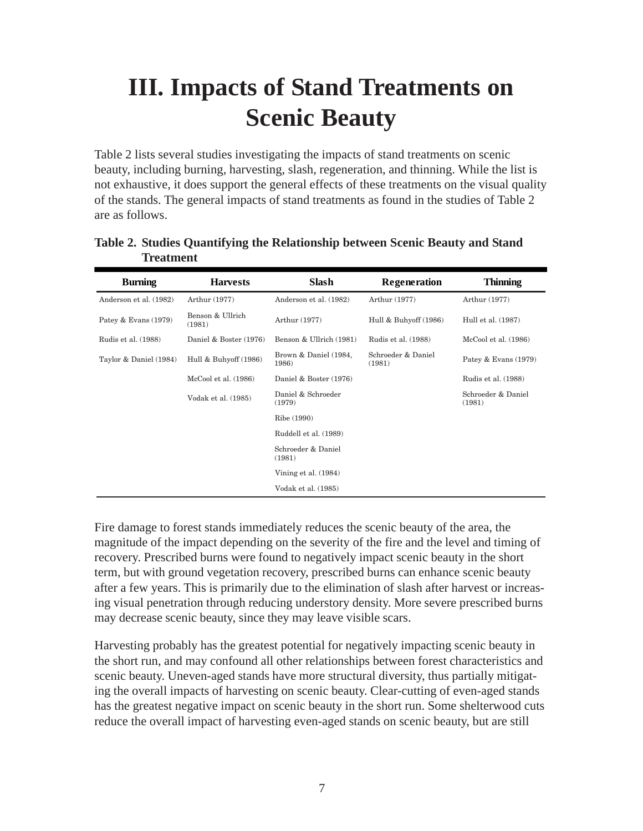## **III. Impacts of Stand Treatments on Scenic Beauty**

Table 2 lists several studies investigating the impacts of stand treatments on scenic beauty, including burning, harvesting, slash, regeneration, and thinning. While the list is not exhaustive, it does support the general effects of these treatments on the visual quality of the stands. The general impacts of stand treatments as found in the studies of Table 2 are as follows.

| <b>Burning</b>         | <b>Harvests</b>            | Slash                          | Regeneration                 | <b>Thinning</b>              |
|------------------------|----------------------------|--------------------------------|------------------------------|------------------------------|
| Anderson et al. (1982) | Arthur (1977)              | Anderson et al. (1982)         | Arthur (1977)                | Arthur (1977)                |
| Patey & Evans (1979)   | Benson & Ullrich<br>(1981) | Arthur (1977)                  | Hull & Buhyoff (1986)        | Hull et al. (1987)           |
| Rudis et al. (1988)    | Daniel & Boster (1976)     | Benson & Ullrich (1981)        | Rudis et al. (1988)          | McCool et al. (1986)         |
| Taylor & Daniel (1984) | Hull & Buhyoff (1986)      | Brown & Daniel (1984,<br>1986) | Schroeder & Daniel<br>(1981) | Patey & Evans (1979)         |
|                        | McCool et al. (1986)       | Daniel & Boster (1976)         |                              | Rudis et al. (1988)          |
|                        | Vodak et al. (1985)        | Daniel & Schroeder<br>(1979)   |                              | Schroeder & Daniel<br>(1981) |
|                        |                            | Ribe (1990)                    |                              |                              |
|                        |                            | Ruddell et al. (1989)          |                              |                              |
|                        |                            | Schroeder & Daniel<br>(1981)   |                              |                              |
|                        |                            | Vining et al. (1984)           |                              |                              |
|                        |                            | Vodak et al. (1985)            |                              |                              |

**Table 2. Studies Quantifying the Relationship between Scenic Beauty and Stand Treatment**

Fire damage to forest stands immediately reduces the scenic beauty of the area, the magnitude of the impact depending on the severity of the fire and the level and timing of recovery. Prescribed burns were found to negatively impact scenic beauty in the short term, but with ground vegetation recovery, prescribed burns can enhance scenic beauty after a few years. This is primarily due to the elimination of slash after harvest or increasing visual penetration through reducing understory density. More severe prescribed burns may decrease scenic beauty, since they may leave visible scars.

Harvesting probably has the greatest potential for negatively impacting scenic beauty in the short run, and may confound all other relationships between forest characteristics and scenic beauty. Uneven-aged stands have more structural diversity, thus partially mitigating the overall impacts of harvesting on scenic beauty. Clear-cutting of even-aged stands has the greatest negative impact on scenic beauty in the short run. Some shelterwood cuts reduce the overall impact of harvesting even-aged stands on scenic beauty, but are still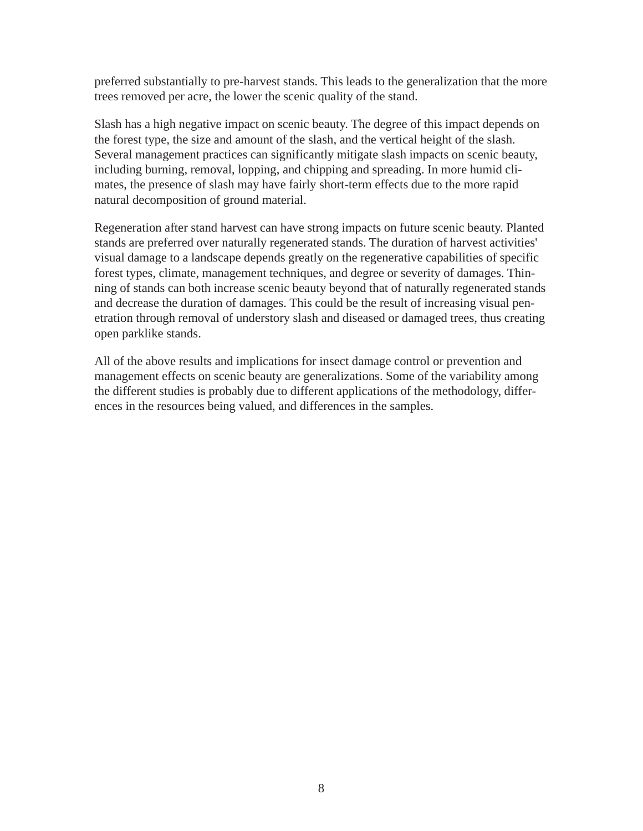preferred substantially to pre-harvest stands. This leads to the generalization that the more trees removed per acre, the lower the scenic quality of the stand.

Slash has a high negative impact on scenic beauty. The degree of this impact depends on the forest type, the size and amount of the slash, and the vertical height of the slash. Several management practices can significantly mitigate slash impacts on scenic beauty, including burning, removal, lopping, and chipping and spreading. In more humid climates, the presence of slash may have fairly short-term effects due to the more rapid natural decomposition of ground material.

Regeneration after stand harvest can have strong impacts on future scenic beauty. Planted stands are preferred over naturally regenerated stands. The duration of harvest activities' visual damage to a landscape depends greatly on the regenerative capabilities of specific forest types, climate, management techniques, and degree or severity of damages. Thinning of stands can both increase scenic beauty beyond that of naturally regenerated stands and decrease the duration of damages. This could be the result of increasing visual penetration through removal of understory slash and diseased or damaged trees, thus creating open parklike stands.

All of the above results and implications for insect damage control or prevention and management effects on scenic beauty are generalizations. Some of the variability among the different studies is probably due to different applications of the methodology, differences in the resources being valued, and differences in the samples.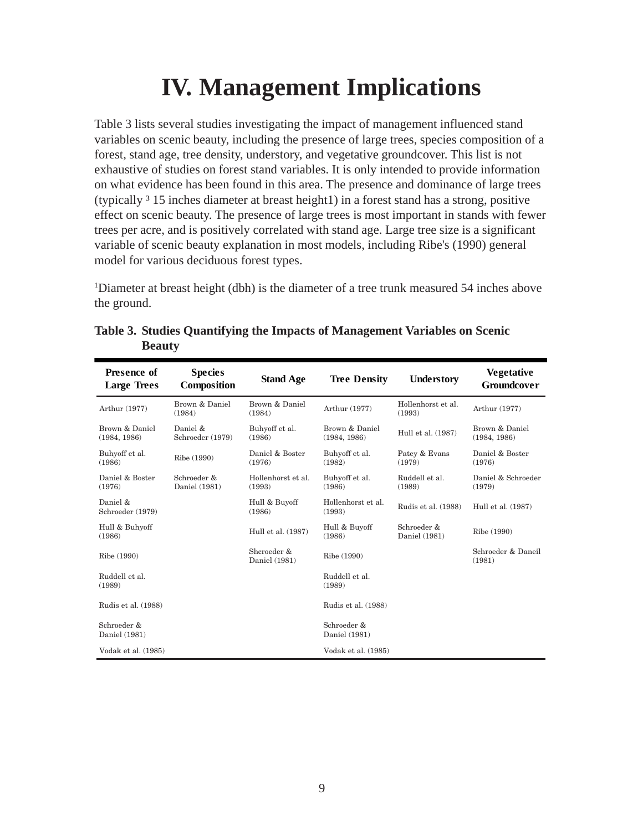## **IV. Management Implications**

Table 3 lists several studies investigating the impact of management influenced stand variables on scenic beauty, including the presence of large trees, species composition of a forest, stand age, tree density, understory, and vegetative groundcover. This list is not exhaustive of studies on forest stand variables. It is only intended to provide information on what evidence has been found in this area. The presence and dominance of large trees (typically  $3$  15 inches diameter at breast height1) in a forest stand has a strong, positive effect on scenic beauty. The presence of large trees is most important in stands with fewer trees per acre, and is positively correlated with stand age. Large tree size is a significant variable of scenic beauty explanation in most models, including Ribe's (1990) general model for various deciduous forest types.

1 Diameter at breast height (dbh) is the diameter of a tree trunk measured 54 inches above the ground.

| <b>Presence of</b><br><b>Large Trees</b> | <b>Species</b><br>Composition | <b>Stand Age</b>             | <b>Tree Density</b>            | Understory                   | <b>Vegetative</b><br><b>Groundcover</b> |
|------------------------------------------|-------------------------------|------------------------------|--------------------------------|------------------------------|-----------------------------------------|
| Arthur (1977)                            | Brown & Daniel<br>(1984)      | Brown & Daniel<br>(1984)     | Arthur (1977)                  | Hollenhorst et al.<br>(1993) | Arthur (1977)                           |
| Brown & Daniel<br>(1984, 1986)           | Daniel &<br>Schroeder (1979)  | Buhyoff et al.<br>(1986)     | Brown & Daniel<br>(1984, 1986) | Hull et al. (1987)           | Brown & Daniel<br>(1984, 1986)          |
| Buhyoff et al.<br>(1986)                 | Ribe (1990)                   | Daniel & Boster<br>(1976)    | Buhyoff et al.<br>(1982)       | Patey & Evans<br>(1979)      | Daniel & Boster<br>(1976)               |
| Daniel & Boster<br>(1976)                | Schroeder &<br>Daniel (1981)  | Hollenhorst et al.<br>(1993) | Buhyoff et al.<br>(1986)       | Ruddell et al.<br>(1989)     | Daniel & Schroeder<br>(1979)            |
| Daniel &<br>Schroeder (1979)             |                               | Hull & Buyoff<br>(1986)      | Hollenhorst et al.<br>(1993)   | Rudis et al. (1988)          | Hull et al. (1987)                      |
| Hull & Buhyoff<br>(1986)                 |                               | Hull et al. (1987)           | Hull & Buyoff<br>(1986)        | Schroeder &<br>Daniel (1981) | Ribe (1990)                             |
| Ribe (1990)                              |                               | Shcroeder &<br>Daniel (1981) | Ribe (1990)                    |                              | Schroeder & Daneil<br>(1981)            |
| Ruddell et al.<br>(1989)                 |                               |                              | Ruddell et al.<br>(1989)       |                              |                                         |
| Rudis et al. (1988)                      |                               |                              | Rudis et al. (1988)            |                              |                                         |
| Schroeder &<br>Daniel (1981)             |                               |                              | Schroeder &<br>Daniel (1981)   |                              |                                         |
| Vodak et al. (1985)                      |                               |                              | Vodak et al. (1985)            |                              |                                         |

| Table 3. Studies Quantifying the Impacts of Management Variables on Scenic |
|----------------------------------------------------------------------------|
| <b>Beauty</b>                                                              |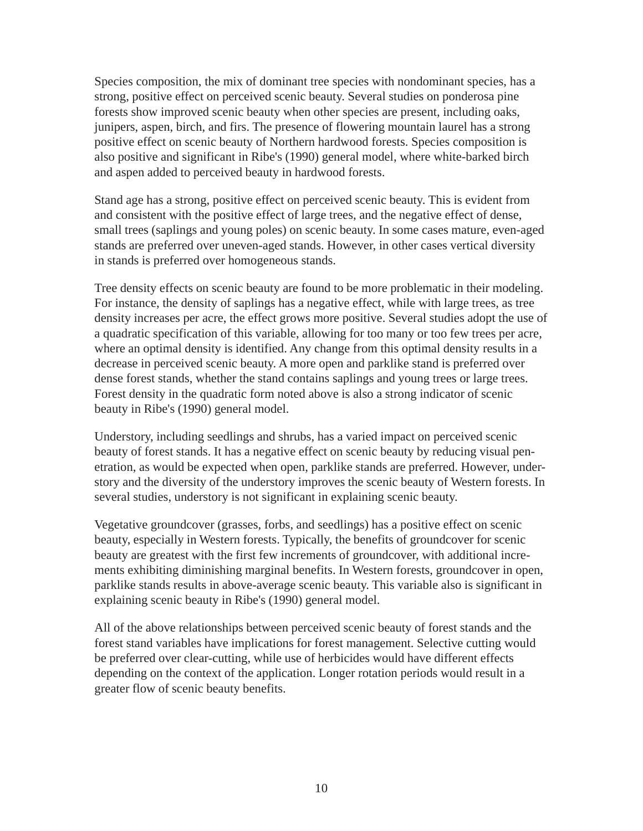Species composition, the mix of dominant tree species with nondominant species, has a strong, positive effect on perceived scenic beauty. Several studies on ponderosa pine forests show improved scenic beauty when other species are present, including oaks, junipers, aspen, birch, and firs. The presence of flowering mountain laurel has a strong positive effect on scenic beauty of Northern hardwood forests. Species composition is also positive and significant in Ribe's (1990) general model, where white-barked birch and aspen added to perceived beauty in hardwood forests.

Stand age has a strong, positive effect on perceived scenic beauty. This is evident from and consistent with the positive effect of large trees, and the negative effect of dense, small trees (saplings and young poles) on scenic beauty. In some cases mature, even-aged stands are preferred over uneven-aged stands. However, in other cases vertical diversity in stands is preferred over homogeneous stands.

Tree density effects on scenic beauty are found to be more problematic in their modeling. For instance, the density of saplings has a negative effect, while with large trees, as tree density increases per acre, the effect grows more positive. Several studies adopt the use of a quadratic specification of this variable, allowing for too many or too few trees per acre, where an optimal density is identified. Any change from this optimal density results in a decrease in perceived scenic beauty. A more open and parklike stand is preferred over dense forest stands, whether the stand contains saplings and young trees or large trees. Forest density in the quadratic form noted above is also a strong indicator of scenic beauty in Ribe's (1990) general model.

Understory, including seedlings and shrubs, has a varied impact on perceived scenic beauty of forest stands. It has a negative effect on scenic beauty by reducing visual penetration, as would be expected when open, parklike stands are preferred. However, understory and the diversity of the understory improves the scenic beauty of Western forests. In several studies, understory is not significant in explaining scenic beauty.

Vegetative groundcover (grasses, forbs, and seedlings) has a positive effect on scenic beauty, especially in Western forests. Typically, the benefits of groundcover for scenic beauty are greatest with the first few increments of groundcover, with additional increments exhibiting diminishing marginal benefits. In Western forests, groundcover in open, parklike stands results in above-average scenic beauty. This variable also is significant in explaining scenic beauty in Ribe's (1990) general model.

All of the above relationships between perceived scenic beauty of forest stands and the forest stand variables have implications for forest management. Selective cutting would be preferred over clear-cutting, while use of herbicides would have different effects depending on the context of the application. Longer rotation periods would result in a greater flow of scenic beauty benefits.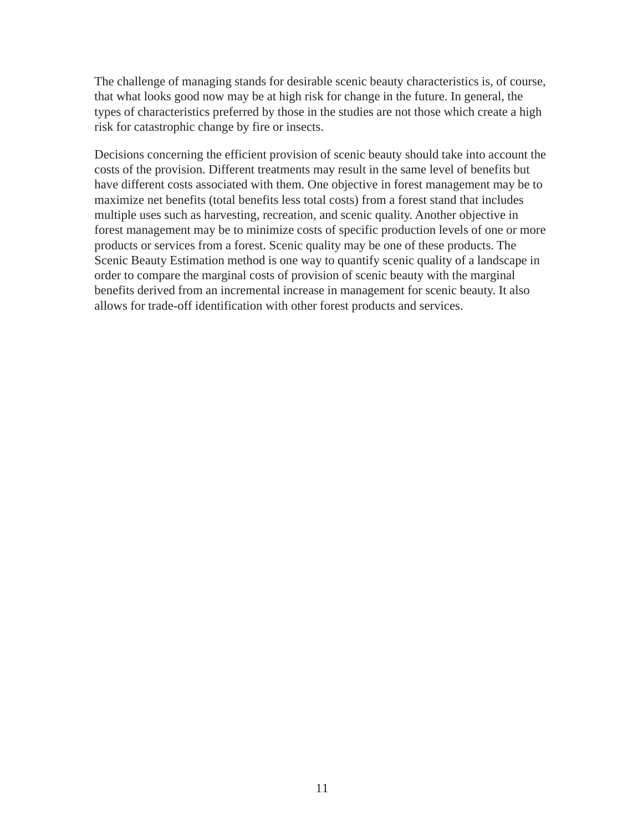The challenge of managing stands for desirable scenic beauty characteristics is, of course, that what looks good now may be at high risk for change in the future. In general, the types of characteristics preferred by those in the studies are not those which create a high risk for catastrophic change by fire or insects.

Decisions concerning the efficient provision of scenic beauty should take into account the costs of the provision. Different treatments may result in the same level of benefits but have different costs associated with them. One objective in forest management may be to maximize net benefits (total benefits less total costs) from a forest stand that includes multiple uses such as harvesting, recreation, and scenic quality. Another objective in forest management may be to minimize costs of specific production levels of one or more products or services from a forest. Scenic quality may be one of these products. The Scenic Beauty Estimation method is one way to quantify scenic quality of a landscape in order to compare the marginal costs of provision of scenic beauty with the marginal benefits derived from an incremental increase in management for scenic beauty. It also allows for trade-off identification with other forest products and services.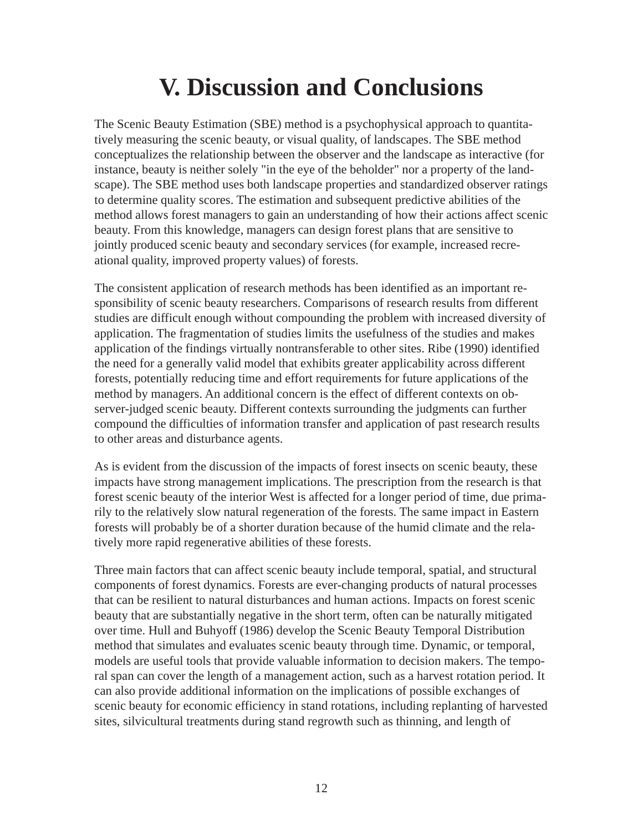## **V. Discussion and Conclusions**

The Scenic Beauty Estimation (SBE) method is a psychophysical approach to quantitatively measuring the scenic beauty, or visual quality, of landscapes. The SBE method conceptualizes the relationship between the observer and the landscape as interactive (for instance, beauty is neither solely "in the eye of the beholder" nor a property of the landscape). The SBE method uses both landscape properties and standardized observer ratings to determine quality scores. The estimation and subsequent predictive abilities of the method allows forest managers to gain an understanding of how their actions affect scenic beauty. From this knowledge, managers can design forest plans that are sensitive to jointly produced scenic beauty and secondary services (for example, increased recreational quality, improved property values) of forests.

The consistent application of research methods has been identified as an important responsibility of scenic beauty researchers. Comparisons of research results from different studies are difficult enough without compounding the problem with increased diversity of application. The fragmentation of studies limits the usefulness of the studies and makes application of the findings virtually nontransferable to other sites. Ribe (1990) identified the need for a generally valid model that exhibits greater applicability across different forests, potentially reducing time and effort requirements for future applications of the method by managers. An additional concern is the effect of different contexts on observer-judged scenic beauty. Different contexts surrounding the judgments can further compound the difficulties of information transfer and application of past research results to other areas and disturbance agents.

As is evident from the discussion of the impacts of forest insects on scenic beauty, these impacts have strong management implications. The prescription from the research is that forest scenic beauty of the interior West is affected for a longer period of time, due primarily to the relatively slow natural regeneration of the forests. The same impact in Eastern forests will probably be of a shorter duration because of the humid climate and the relatively more rapid regenerative abilities of these forests.

Three main factors that can affect scenic beauty include temporal, spatial, and structural components of forest dynamics. Forests are ever-changing products of natural processes that can be resilient to natural disturbances and human actions. Impacts on forest scenic beauty that are substantially negative in the short term, often can be naturally mitigated over time. Hull and Buhyoff (1986) develop the Scenic Beauty Temporal Distribution method that simulates and evaluates scenic beauty through time. Dynamic, or temporal, models are useful tools that provide valuable information to decision makers. The temporal span can cover the length of a management action, such as a harvest rotation period. It can also provide additional information on the implications of possible exchanges of scenic beauty for economic efficiency in stand rotations, including replanting of harvested sites, silvicultural treatments during stand regrowth such as thinning, and length of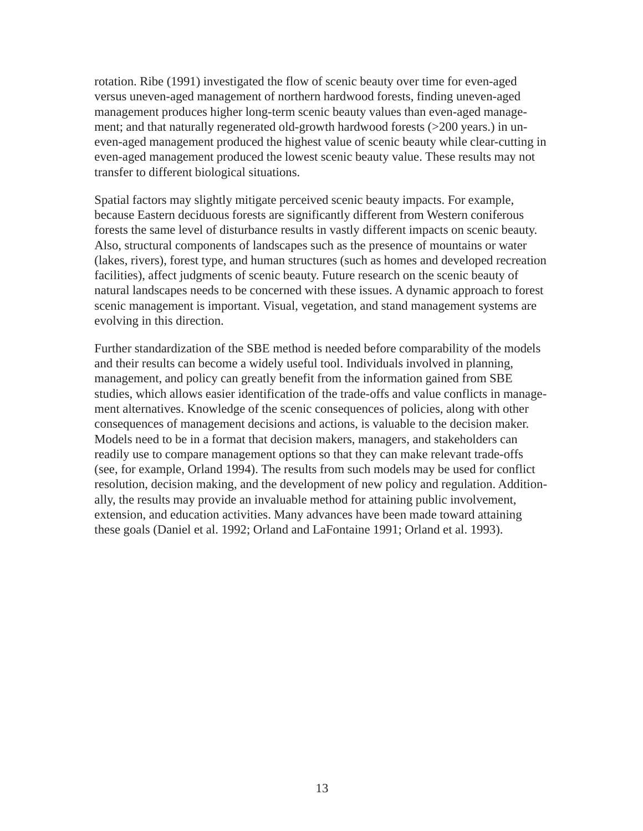rotation. Ribe (1991) investigated the flow of scenic beauty over time for even-aged versus uneven-aged management of northern hardwood forests, finding uneven-aged management produces higher long-term scenic beauty values than even-aged management; and that naturally regenerated old-growth hardwood forests (>200 years.) in uneven-aged management produced the highest value of scenic beauty while clear-cutting in even-aged management produced the lowest scenic beauty value. These results may not transfer to different biological situations.

Spatial factors may slightly mitigate perceived scenic beauty impacts. For example, because Eastern deciduous forests are significantly different from Western coniferous forests the same level of disturbance results in vastly different impacts on scenic beauty. Also, structural components of landscapes such as the presence of mountains or water (lakes, rivers), forest type, and human structures (such as homes and developed recreation facilities), affect judgments of scenic beauty. Future research on the scenic beauty of natural landscapes needs to be concerned with these issues. A dynamic approach to forest scenic management is important. Visual, vegetation, and stand management systems are evolving in this direction.

Further standardization of the SBE method is needed before comparability of the models and their results can become a widely useful tool. Individuals involved in planning, management, and policy can greatly benefit from the information gained from SBE studies, which allows easier identification of the trade-offs and value conflicts in management alternatives. Knowledge of the scenic consequences of policies, along with other consequences of management decisions and actions, is valuable to the decision maker. Models need to be in a format that decision makers, managers, and stakeholders can readily use to compare management options so that they can make relevant trade-offs (see, for example, Orland 1994). The results from such models may be used for conflict resolution, decision making, and the development of new policy and regulation. Additionally, the results may provide an invaluable method for attaining public involvement, extension, and education activities. Many advances have been made toward attaining these goals (Daniel et al. 1992; Orland and LaFontaine 1991; Orland et al. 1993).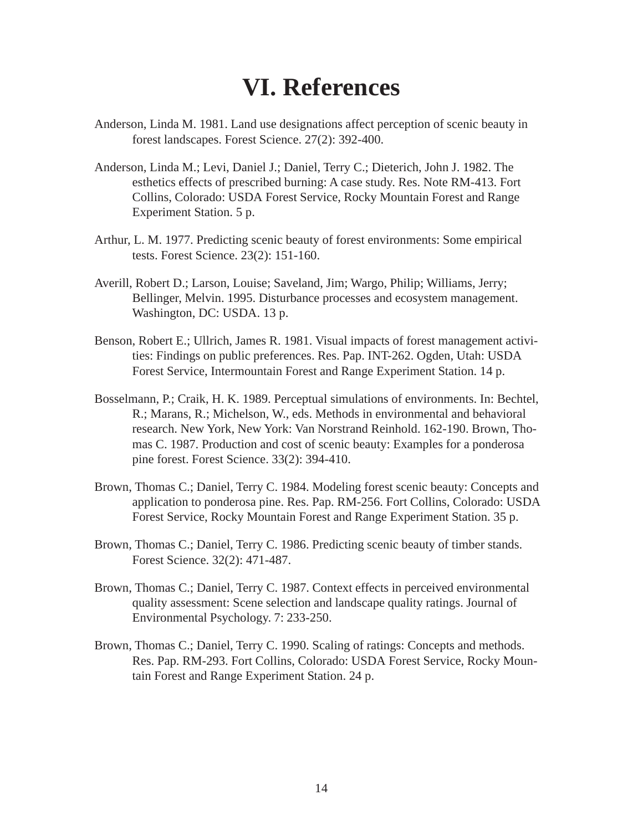### **VI. References**

- Anderson, Linda M. 1981. Land use designations affect perception of scenic beauty in forest landscapes. Forest Science. 27(2): 392-400.
- Anderson, Linda M.; Levi, Daniel J.; Daniel, Terry C.; Dieterich, John J. 1982. The esthetics effects of prescribed burning: A case study. Res. Note RM-413. Fort Collins, Colorado: USDA Forest Service, Rocky Mountain Forest and Range Experiment Station. 5 p.
- Arthur, L. M. 1977. Predicting scenic beauty of forest environments: Some empirical tests. Forest Science. 23(2): 151-160.
- Averill, Robert D.; Larson, Louise; Saveland, Jim; Wargo, Philip; Williams, Jerry; Bellinger, Melvin. 1995. Disturbance processes and ecosystem management. Washington, DC: USDA. 13 p.
- Benson, Robert E.; Ullrich, James R. 1981. Visual impacts of forest management activities: Findings on public preferences. Res. Pap. INT-262. Ogden, Utah: USDA Forest Service, Intermountain Forest and Range Experiment Station. 14 p.
- Bosselmann, P.; Craik, H. K. 1989. Perceptual simulations of environments. In: Bechtel, R.; Marans, R.; Michelson, W., eds. Methods in environmental and behavioral research. New York, New York: Van Norstrand Reinhold. 162-190. Brown, Thomas C. 1987. Production and cost of scenic beauty: Examples for a ponderosa pine forest. Forest Science. 33(2): 394-410.
- Brown, Thomas C.; Daniel, Terry C. 1984. Modeling forest scenic beauty: Concepts and application to ponderosa pine. Res. Pap. RM-256. Fort Collins, Colorado: USDA Forest Service, Rocky Mountain Forest and Range Experiment Station. 35 p.
- Brown, Thomas C.; Daniel, Terry C. 1986. Predicting scenic beauty of timber stands. Forest Science. 32(2): 471-487.
- Brown, Thomas C.; Daniel, Terry C. 1987. Context effects in perceived environmental quality assessment: Scene selection and landscape quality ratings. Journal of Environmental Psychology. 7: 233-250.
- Brown, Thomas C.; Daniel, Terry C. 1990. Scaling of ratings: Concepts and methods. Res. Pap. RM-293. Fort Collins, Colorado: USDA Forest Service, Rocky Mountain Forest and Range Experiment Station. 24 p.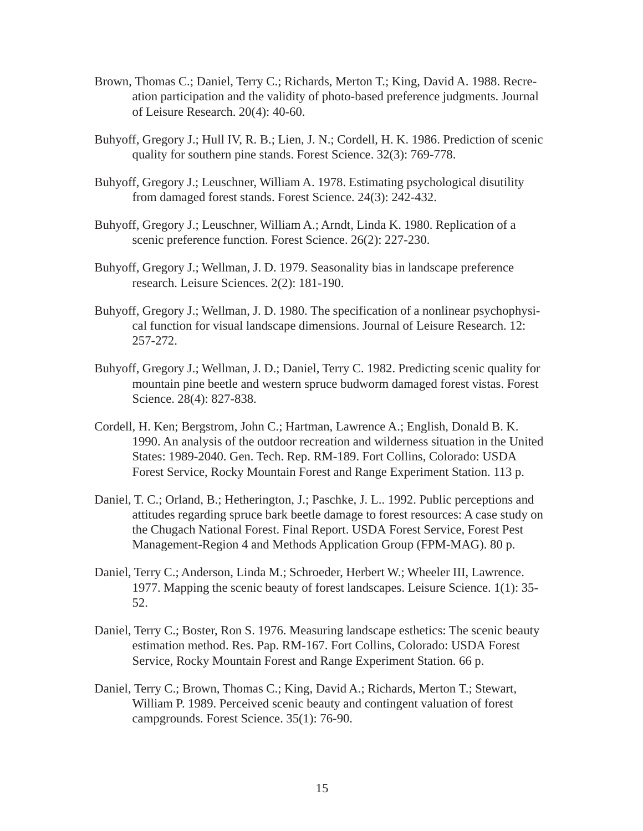- Brown, Thomas C.; Daniel, Terry C.; Richards, Merton T.; King, David A. 1988. Recreation participation and the validity of photo-based preference judgments. Journal of Leisure Research. 20(4): 40-60.
- Buhyoff, Gregory J.; Hull IV, R. B.; Lien, J. N.; Cordell, H. K. 1986. Prediction of scenic quality for southern pine stands. Forest Science. 32(3): 769-778.
- Buhyoff, Gregory J.; Leuschner, William A. 1978. Estimating psychological disutility from damaged forest stands. Forest Science. 24(3): 242-432.
- Buhyoff, Gregory J.; Leuschner, William A.; Arndt, Linda K. 1980. Replication of a scenic preference function. Forest Science. 26(2): 227-230.
- Buhyoff, Gregory J.; Wellman, J. D. 1979. Seasonality bias in landscape preference research. Leisure Sciences. 2(2): 181-190.
- Buhyoff, Gregory J.; Wellman, J. D. 1980. The specification of a nonlinear psychophysical function for visual landscape dimensions. Journal of Leisure Research. 12: 257-272.
- Buhyoff, Gregory J.; Wellman, J. D.; Daniel, Terry C. 1982. Predicting scenic quality for mountain pine beetle and western spruce budworm damaged forest vistas. Forest Science. 28(4): 827-838.
- Cordell, H. Ken; Bergstrom, John C.; Hartman, Lawrence A.; English, Donald B. K. 1990. An analysis of the outdoor recreation and wilderness situation in the United States: 1989-2040. Gen. Tech. Rep. RM-189. Fort Collins, Colorado: USDA Forest Service, Rocky Mountain Forest and Range Experiment Station. 113 p.
- Daniel, T. C.; Orland, B.; Hetherington, J.; Paschke, J. L.. 1992. Public perceptions and attitudes regarding spruce bark beetle damage to forest resources: A case study on the Chugach National Forest. Final Report. USDA Forest Service, Forest Pest Management-Region 4 and Methods Application Group (FPM-MAG). 80 p.
- Daniel, Terry C.; Anderson, Linda M.; Schroeder, Herbert W.; Wheeler III, Lawrence. 1977. Mapping the scenic beauty of forest landscapes. Leisure Science. 1(1): 35- 52.
- Daniel, Terry C.; Boster, Ron S. 1976. Measuring landscape esthetics: The scenic beauty estimation method. Res. Pap. RM-167. Fort Collins, Colorado: USDA Forest Service, Rocky Mountain Forest and Range Experiment Station. 66 p.
- Daniel, Terry C.; Brown, Thomas C.; King, David A.; Richards, Merton T.; Stewart, William P. 1989. Perceived scenic beauty and contingent valuation of forest campgrounds. Forest Science. 35(1): 76-90.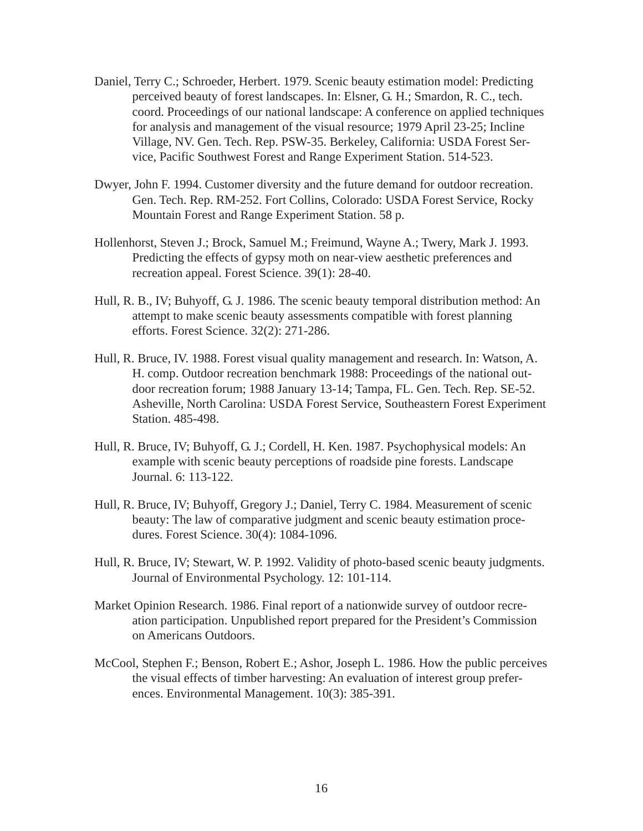- Daniel, Terry C.; Schroeder, Herbert. 1979. Scenic beauty estimation model: Predicting perceived beauty of forest landscapes. In: Elsner, G. H.; Smardon, R. C., tech. coord. Proceedings of our national landscape: A conference on applied techniques for analysis and management of the visual resource; 1979 April 23-25; Incline Village, NV. Gen. Tech. Rep. PSW-35. Berkeley, California: USDA Forest Service, Pacific Southwest Forest and Range Experiment Station. 514-523.
- Dwyer, John F. 1994. Customer diversity and the future demand for outdoor recreation. Gen. Tech. Rep. RM-252. Fort Collins, Colorado: USDA Forest Service, Rocky Mountain Forest and Range Experiment Station. 58 p.
- Hollenhorst, Steven J.; Brock, Samuel M.; Freimund, Wayne A.; Twery, Mark J. 1993. Predicting the effects of gypsy moth on near-view aesthetic preferences and recreation appeal. Forest Science. 39(1): 28-40.
- Hull, R. B., IV; Buhyoff, G. J. 1986. The scenic beauty temporal distribution method: An attempt to make scenic beauty assessments compatible with forest planning efforts. Forest Science. 32(2): 271-286.
- Hull, R. Bruce, IV. 1988. Forest visual quality management and research. In: Watson, A. H. comp. Outdoor recreation benchmark 1988: Proceedings of the national outdoor recreation forum; 1988 January 13-14; Tampa, FL. Gen. Tech. Rep. SE-52. Asheville, North Carolina: USDA Forest Service, Southeastern Forest Experiment Station. 485-498.
- Hull, R. Bruce, IV; Buhyoff, G. J.; Cordell, H. Ken. 1987. Psychophysical models: An example with scenic beauty perceptions of roadside pine forests. Landscape Journal. 6: 113-122.
- Hull, R. Bruce, IV; Buhyoff, Gregory J.; Daniel, Terry C. 1984. Measurement of scenic beauty: The law of comparative judgment and scenic beauty estimation procedures. Forest Science. 30(4): 1084-1096.
- Hull, R. Bruce, IV; Stewart, W. P. 1992. Validity of photo-based scenic beauty judgments. Journal of Environmental Psychology. 12: 101-114.
- Market Opinion Research. 1986. Final report of a nationwide survey of outdoor recreation participation. Unpublished report prepared for the President's Commission on Americans Outdoors.
- McCool, Stephen F.; Benson, Robert E.; Ashor, Joseph L. 1986. How the public perceives the visual effects of timber harvesting: An evaluation of interest group preferences. Environmental Management. 10(3): 385-391.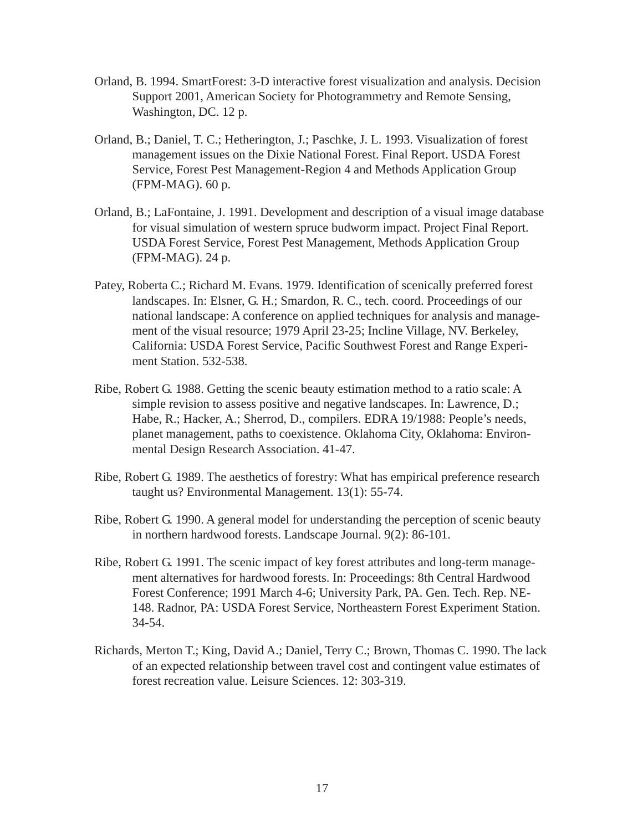- Orland, B. 1994. SmartForest: 3-D interactive forest visualization and analysis. Decision Support 2001, American Society for Photogrammetry and Remote Sensing, Washington, DC. 12 p.
- Orland, B.; Daniel, T. C.; Hetherington, J.; Paschke, J. L. 1993. Visualization of forest management issues on the Dixie National Forest. Final Report. USDA Forest Service, Forest Pest Management-Region 4 and Methods Application Group (FPM-MAG). 60 p.
- Orland, B.; LaFontaine, J. 1991. Development and description of a visual image database for visual simulation of western spruce budworm impact. Project Final Report. USDA Forest Service, Forest Pest Management, Methods Application Group (FPM-MAG). 24 p.
- Patey, Roberta C.; Richard M. Evans. 1979. Identification of scenically preferred forest landscapes. In: Elsner, G. H.; Smardon, R. C., tech. coord. Proceedings of our national landscape: A conference on applied techniques for analysis and management of the visual resource; 1979 April 23-25; Incline Village, NV. Berkeley, California: USDA Forest Service, Pacific Southwest Forest and Range Experiment Station. 532-538.
- Ribe, Robert G. 1988. Getting the scenic beauty estimation method to a ratio scale: A simple revision to assess positive and negative landscapes. In: Lawrence, D.; Habe, R.; Hacker, A.; Sherrod, D., compilers. EDRA 19/1988: People's needs, planet management, paths to coexistence. Oklahoma City, Oklahoma: Environmental Design Research Association. 41-47.
- Ribe, Robert G. 1989. The aesthetics of forestry: What has empirical preference research taught us? Environmental Management. 13(1): 55-74.
- Ribe, Robert G. 1990. A general model for understanding the perception of scenic beauty in northern hardwood forests. Landscape Journal. 9(2): 86-101.
- Ribe, Robert G. 1991. The scenic impact of key forest attributes and long-term management alternatives for hardwood forests. In: Proceedings: 8th Central Hardwood Forest Conference; 1991 March 4-6; University Park, PA. Gen. Tech. Rep. NE-148. Radnor, PA: USDA Forest Service, Northeastern Forest Experiment Station. 34-54.
- Richards, Merton T.; King, David A.; Daniel, Terry C.; Brown, Thomas C. 1990. The lack of an expected relationship between travel cost and contingent value estimates of forest recreation value. Leisure Sciences. 12: 303-319.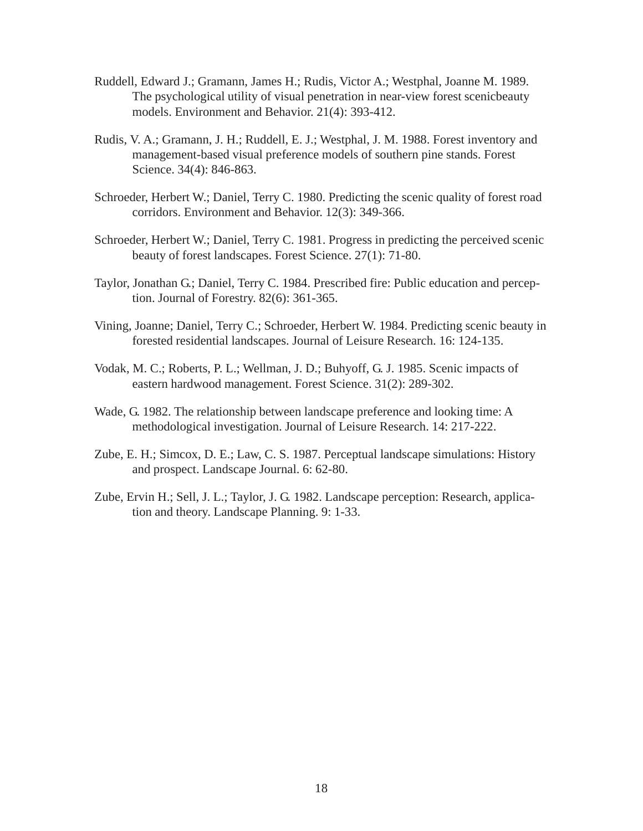- Ruddell, Edward J.; Gramann, James H.; Rudis, Victor A.; Westphal, Joanne M. 1989. The psychological utility of visual penetration in near-view forest scenicbeauty models. Environment and Behavior. 21(4): 393-412.
- Rudis, V. A.; Gramann, J. H.; Ruddell, E. J.; Westphal, J. M. 1988. Forest inventory and management-based visual preference models of southern pine stands. Forest Science. 34(4): 846-863.
- Schroeder, Herbert W.; Daniel, Terry C. 1980. Predicting the scenic quality of forest road corridors. Environment and Behavior. 12(3): 349-366.
- Schroeder, Herbert W.; Daniel, Terry C. 1981. Progress in predicting the perceived scenic beauty of forest landscapes. Forest Science. 27(1): 71-80.
- Taylor, Jonathan G.; Daniel, Terry C. 1984. Prescribed fire: Public education and perception. Journal of Forestry. 82(6): 361-365.
- Vining, Joanne; Daniel, Terry C.; Schroeder, Herbert W. 1984. Predicting scenic beauty in forested residential landscapes. Journal of Leisure Research. 16: 124-135.
- Vodak, M. C.; Roberts, P. L.; Wellman, J. D.; Buhyoff, G. J. 1985. Scenic impacts of eastern hardwood management. Forest Science. 31(2): 289-302.
- Wade, G. 1982. The relationship between landscape preference and looking time: A methodological investigation. Journal of Leisure Research. 14: 217-222.
- Zube, E. H.; Simcox, D. E.; Law, C. S. 1987. Perceptual landscape simulations: History and prospect. Landscape Journal. 6: 62-80.
- Zube, Ervin H.; Sell, J. L.; Taylor, J. G. 1982. Landscape perception: Research, application and theory. Landscape Planning. 9: 1-33.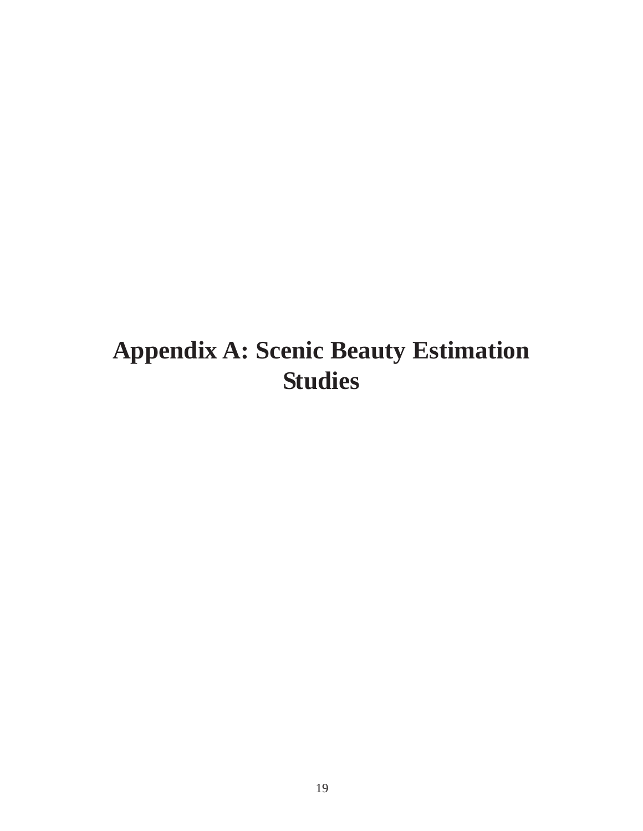## **Appendix A: Scenic Beauty Estimation Studies**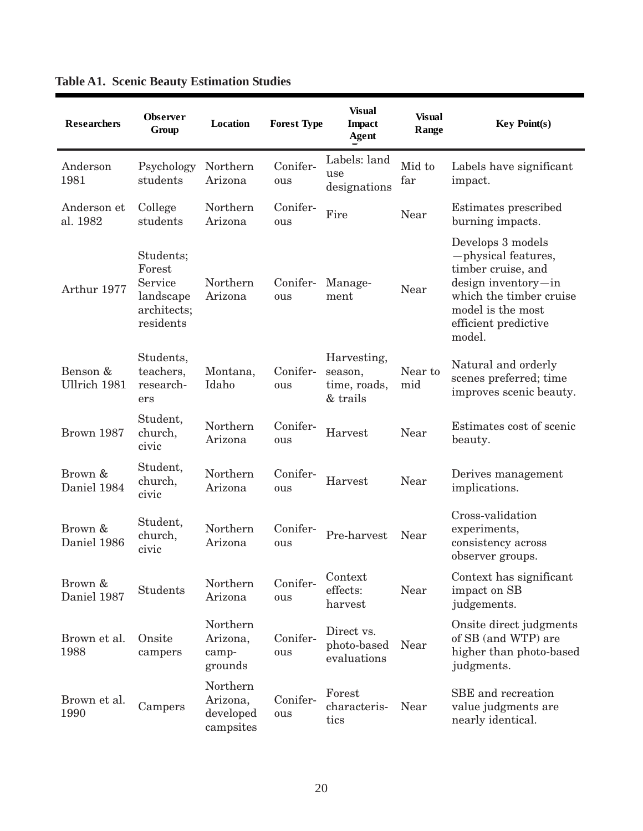| <b>Researchers</b>       | <b>Observer</b><br>Group                                                | Location                                       | <b>Forest Type</b> | <b>Visual</b><br><b>Impact</b><br><b>Agent</b>     | <b>Visual</b><br>Range | <b>Key Point(s)</b>                                                                                                                                                     |
|--------------------------|-------------------------------------------------------------------------|------------------------------------------------|--------------------|----------------------------------------------------|------------------------|-------------------------------------------------------------------------------------------------------------------------------------------------------------------------|
| Anderson<br>1981         | Psychology<br>students                                                  | Northern<br>Arizona                            | Conifer-<br>ous    | Labels: land<br>use<br>designations                | Mid to<br>far          | Labels have significant<br>impact.                                                                                                                                      |
| Anderson et<br>al. 1982  | College<br>students                                                     | Northern<br>Arizona                            | Conifer-<br>ous    | Fire                                               | Near                   | Estimates prescribed<br>burning impacts.                                                                                                                                |
| Arthur 1977              | Students;<br>Forest<br>Service<br>landscape<br>architects;<br>residents | Northern<br>Arizona                            | Conifer-<br>ous    | Manage-<br>ment                                    | Near                   | Develops 3 models<br>-physical features,<br>timber cruise, and<br>design inventory-in<br>which the timber cruise<br>model is the most<br>efficient predictive<br>model. |
| Benson &<br>Ullrich 1981 | Students,<br>teachers,<br>research-<br>ers                              | Montana,<br>Idaho                              | Conifer-<br>ous    | Harvesting,<br>season,<br>time, roads,<br>& trails | Near to<br>mid         | Natural and orderly<br>scenes preferred; time<br>improves scenic beauty.                                                                                                |
| Brown 1987               | Student,<br>church,<br>civic                                            | Northern<br>Arizona                            | Conifer-<br>ous    | Harvest                                            | Near                   | Estimates cost of scenic<br>beauty.                                                                                                                                     |
| Brown &<br>Daniel 1984   | Student,<br>church,<br>civic                                            | Northern<br>Arizona                            | Conifer-<br>ous    | Harvest                                            | Near                   | Derives management<br>implications.                                                                                                                                     |
| Brown &<br>Daniel 1986   | Student,<br>church,<br>civic                                            | Northern<br>Arizona                            | Conifer-<br>ous    | Pre-harvest                                        | Near                   | Cross-validation<br>experiments,<br>consistency across<br>observer groups.                                                                                              |
| Brown &<br>Daniel 1987   | <b>Students</b>                                                         | Northern<br>Arizona                            | Conifer-<br>ous    | Context<br>effects:<br>harvest                     | Near                   | Context has significant<br>impact on SB<br>judgements.                                                                                                                  |
| Brown et al.<br>1988     | Onsite<br>campers                                                       | Northern<br>Arizona,<br>camp-<br>grounds       | Conifer-<br>ous    | Direct vs.<br>photo-based<br>evaluations           | Near                   | Onsite direct judgments<br>of SB (and WTP) are<br>higher than photo-based<br>judgments.                                                                                 |
| Brown et al.<br>1990     | Campers                                                                 | Northern<br>Arizona,<br>developed<br>campsites | Conifer-<br>ous    | Forest<br>characteris-<br>tics                     | Near                   | SBE and recreation<br>value judgments are<br>nearly identical.                                                                                                          |

#### **Table A1. Scenic Beauty Estimation Studies**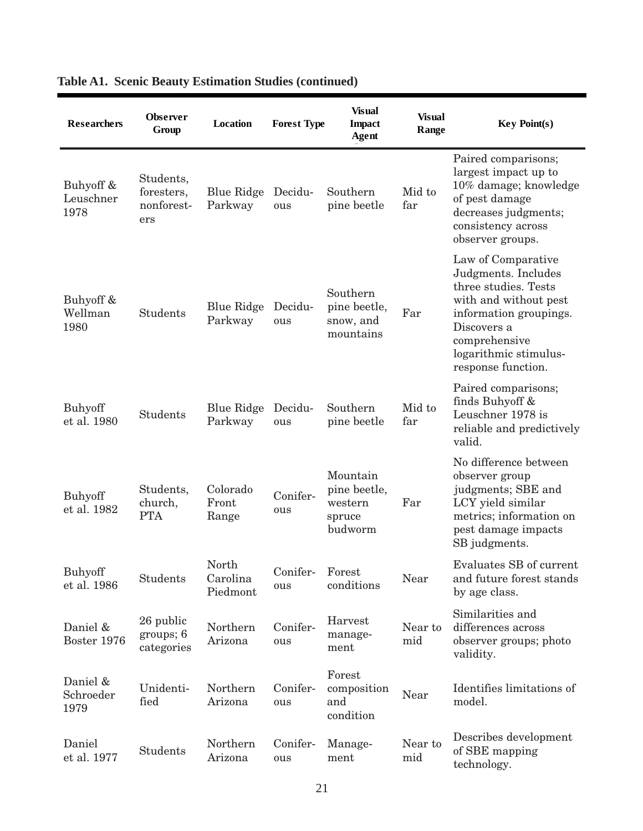| <b>Researchers</b>             | Observer<br>Group                            | Location                      | <b>Forest Type</b> | <b>Visual</b><br><b>Impact</b><br>Agent                  | <b>Visual</b><br>Range | <b>Key Point(s)</b>                                                                                                                                                                                 |
|--------------------------------|----------------------------------------------|-------------------------------|--------------------|----------------------------------------------------------|------------------------|-----------------------------------------------------------------------------------------------------------------------------------------------------------------------------------------------------|
| Buhyoff &<br>Leuschner<br>1978 | Students,<br>foresters,<br>nonforest-<br>ers | <b>Blue Ridge</b><br>Parkway  | Decidu-<br>ous     | Southern<br>pine beetle                                  | Mid to<br>far          | Paired comparisons;<br>largest impact up to<br>10% damage; knowledge<br>of pest damage<br>decreases judgments;<br>consistency across<br>observer groups.                                            |
| Buhyoff &<br>Wellman<br>1980   | Students                                     | Blue Ridge<br>Parkway         | Decidu-<br>ous     | Southern<br>pine beetle,<br>snow, and<br>mountains       | Far                    | Law of Comparative<br>Judgments. Includes<br>three studies. Tests<br>with and without pest<br>information groupings.<br>Discovers a<br>comprehensive<br>logarithmic stimulus-<br>response function. |
| <b>Buhyoff</b><br>et al. 1980  | Students                                     | Blue Ridge<br>Parkway         | Decidu-<br>ous     | Southern<br>pine beetle                                  | Mid to<br>far          | Paired comparisons;<br>finds Buhyoff &<br>Leuschner 1978 is<br>reliable and predictively<br>valid.                                                                                                  |
| <b>Buhyoff</b><br>et al. 1982  | Students,<br>church,<br><b>PTA</b>           | Colorado<br>Front<br>Range    | Conifer-<br>ous    | Mountain<br>pine beetle,<br>western<br>spruce<br>budworm | Far                    | No difference between<br>observer group<br>judgments; SBE and<br>LCY yield similar<br>metrics; information on<br>pest damage impacts<br>SB judgments.                                               |
| <b>Buhyoff</b><br>et al. 1986  | Students                                     | North<br>Carolina<br>Piedmont | Conifer-<br>ous    | Forest<br>conditions                                     | Near                   | Evaluates SB of current<br>and future forest stands<br>by age class.                                                                                                                                |
| Daniel &<br>Boster 1976        | 26 public<br>groups; 6<br>categories         | Northern<br>Arizona           | Conifer-<br>ous    | Harvest<br>manage-<br>ment                               | Near to<br>mid         | Similarities and<br>differences across<br>observer groups; photo<br>validity.                                                                                                                       |
| Daniel &<br>Schroeder<br>1979  | Unidenti-<br>fied                            | Northern<br>Arizona           | Conifer-<br>ous    | Forest<br>composition<br>and<br>condition                | Near                   | Identifies limitations of<br>model.                                                                                                                                                                 |
| Daniel<br>et al. 1977          | Students                                     | Northern<br>Arizona           | Conifer-<br>ous    | Manage-<br>ment                                          | Near to<br>mid         | Describes development<br>of SBE mapping<br>technology.                                                                                                                                              |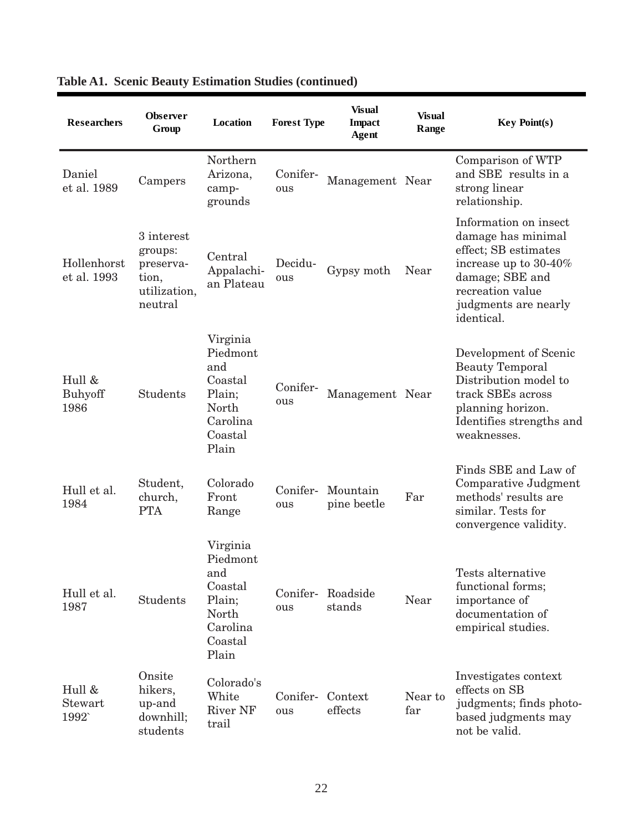| <b>Researchers</b>         | <b>Observer</b><br>Group                                               | <b>Location</b>                                                                           | <b>Forest Type</b> | <b>Visual</b><br><b>Impact</b><br><b>Agent</b> | Visual<br>Range | <b>Key Point(s)</b>                                                                                                                                                          |
|----------------------------|------------------------------------------------------------------------|-------------------------------------------------------------------------------------------|--------------------|------------------------------------------------|-----------------|------------------------------------------------------------------------------------------------------------------------------------------------------------------------------|
| Daniel<br>et al. 1989      | Campers                                                                | Northern<br>Arizona,<br>camp-<br>grounds                                                  | Conifer-<br>ous    | Management Near                                |                 | Comparison of WTP<br>and SBE results in a<br>strong linear<br>relationship.                                                                                                  |
| Hollenhorst<br>et al. 1993 | 3 interest<br>groups:<br>preserva-<br>tion,<br>utilization,<br>neutral | Central<br>Appalachi-<br>an Plateau                                                       | Decidu-<br>ous     | Gypsy moth                                     | Near            | Information on insect<br>damage has minimal<br>effect; SB estimates<br>increase up to $30-40\%$<br>damage; SBE and<br>recreation value<br>judgments are nearly<br>identical. |
| Hull &<br>Buhyoff<br>1986  | <b>Students</b>                                                        | Virginia<br>Piedmont<br>and<br>Coastal<br>Plain;<br>North<br>Carolina<br>Coastal<br>Plain | Conifer-<br>ous    | Management Near                                |                 | Development of Scenic<br><b>Beauty Temporal</b><br>Distribution model to<br>track SBEs across<br>planning horizon.<br>Identifies strengths and<br>weaknesses.                |
| Hull et al.<br>1984        | Student,<br>church,<br><b>PTA</b>                                      | Colorado<br>Front<br>Range                                                                | Conifer-<br>ous    | Mountain<br>pine beetle                        | Far             | Finds SBE and Law of<br>Comparative Judgment<br>methods' results are<br>similar. Tests for<br>convergence validity.                                                          |
| Hull et al.<br>1987        | <b>Students</b>                                                        | Virginia<br>Piedmont<br>and<br>Coastal<br>Plain;<br>North<br>Carolina<br>Coastal<br>Plain | Conifer-<br>ous    | Roadside<br>stands                             | Near            | Tests alternative<br>functional forms;<br>importance of<br>documentation of<br>empirical studies.                                                                            |
| Hull &<br>Stewart<br>1992  | Onsite<br>hikers,<br>up-and<br>downhill;<br>students                   | Colorado's<br>White<br><b>River NF</b><br>trail                                           | Conifer-<br>ous    | Context<br>effects                             | Near to<br>far  | Investigates context<br>effects on SB<br>judgments; finds photo-<br>based judgments may<br>not be valid.                                                                     |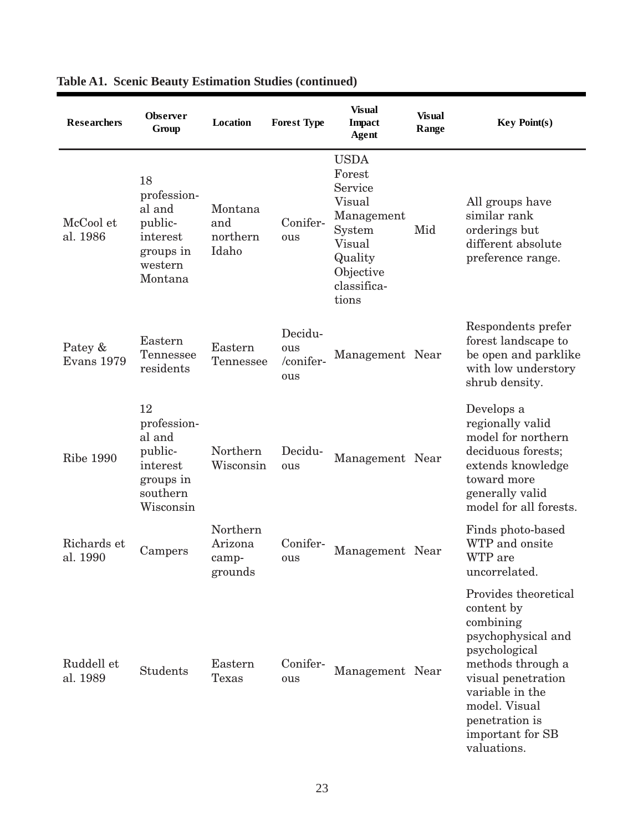| <b>Researchers</b>           | <b>Observer</b><br>Group                                                                 | Location                                | <b>Forest Type</b>                 | <b>Visual</b><br><b>Impact</b><br>Agent                                                                                      | <b>Visual</b><br>Range | <b>Key Point(s)</b>                                                                                                                                                                                                        |
|------------------------------|------------------------------------------------------------------------------------------|-----------------------------------------|------------------------------------|------------------------------------------------------------------------------------------------------------------------------|------------------------|----------------------------------------------------------------------------------------------------------------------------------------------------------------------------------------------------------------------------|
| McCool et<br>al. 1986        | 18<br>profession-<br>al and<br>public-<br>interest<br>groups in<br>western<br>Montana    | Montana<br>and<br>northern<br>Idaho     | Conifer-<br>ous                    | <b>USDA</b><br>Forest<br>Service<br>Visual<br>Management<br>System<br>Visual<br>Quality<br>Objective<br>classifica-<br>tions | Mid                    | All groups have<br>similar rank<br>orderings but<br>different absolute<br>preference range.                                                                                                                                |
| Patey &<br><b>Evans</b> 1979 | Eastern<br>Tennessee<br>residents                                                        | Eastern<br>Tennessee                    | Decidu-<br>ous<br>/conifer-<br>ous | Management Near                                                                                                              |                        | Respondents prefer<br>forest landscape to<br>be open and parklike<br>with low understory<br>shrub density.                                                                                                                 |
| <b>Ribe 1990</b>             | 12<br>profession-<br>al and<br>public-<br>interest<br>groups in<br>southern<br>Wisconsin | Northern<br>Wisconsin                   | Decidu-<br>ous                     | Management Near                                                                                                              |                        | Develops a<br>regionally valid<br>model for northern<br>deciduous forests;<br>extends knowledge<br>toward more<br>generally valid<br>model for all forests.                                                                |
| Richards et<br>al. 1990      | Campers                                                                                  | Northern<br>Arizona<br>camp-<br>grounds | Conifer-<br>ous                    | Management Near                                                                                                              |                        | Finds photo-based<br>WTP and onsite<br>WTP are<br>uncorrelated.                                                                                                                                                            |
| Ruddell et<br>al. 1989       | <b>Students</b>                                                                          | Eastern<br>Texas                        | Conifer-<br>ous                    | Management Near                                                                                                              |                        | Provides theoretical<br>content by<br>combining<br>psychophysical and<br>psychological<br>methods through a<br>visual penetration<br>variable in the<br>model. Visual<br>penetration is<br>important for SB<br>valuations. |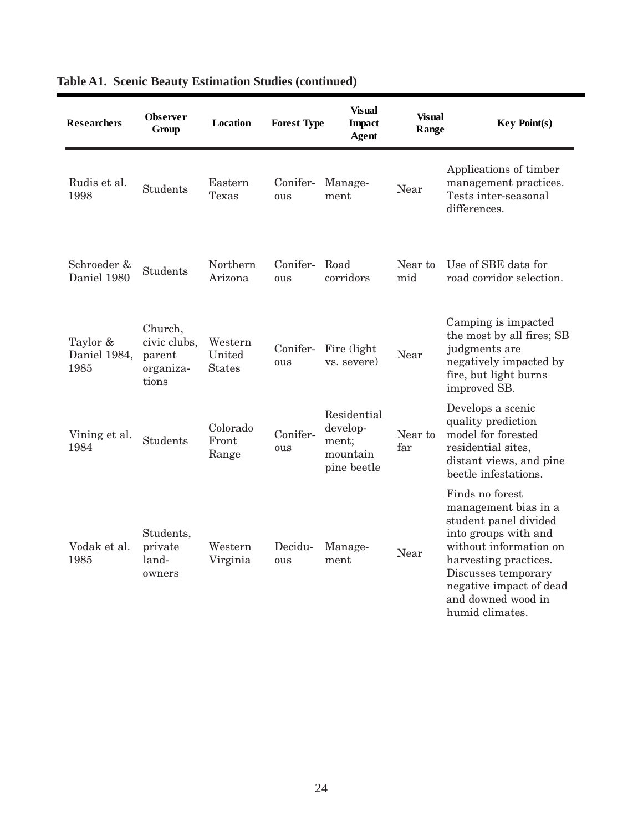| <b>Researchers</b>               | <b>Observer</b><br>Group                                | <b>Location</b>                    | <b>Forest Type</b> | <b>Visual</b><br><b>Impact</b><br>Agent                     | <b>Visual</b><br>Range | <b>Key Point(s)</b>                                                                                                                                                                                                                    |
|----------------------------------|---------------------------------------------------------|------------------------------------|--------------------|-------------------------------------------------------------|------------------------|----------------------------------------------------------------------------------------------------------------------------------------------------------------------------------------------------------------------------------------|
| Rudis et al.<br>1998             | <b>Students</b>                                         | Eastern<br>Texas                   | Conifer-<br>ous    | Manage-<br>ment                                             | Near                   | Applications of timber<br>management practices.<br>Tests inter-seasonal<br>differences.                                                                                                                                                |
| Schroeder &<br>Daniel 1980       | <b>Students</b>                                         | Northern<br>Arizona                | Conifer-<br>ous    | Road<br>corridors                                           | Near to<br>mid         | Use of SBE data for<br>road corridor selection.                                                                                                                                                                                        |
| Taylor &<br>Daniel 1984,<br>1985 | Church,<br>civic clubs,<br>parent<br>organiza-<br>tions | Western<br>United<br><b>States</b> | Conifer-<br>ous    | Fire (light)<br>vs. severe)                                 | Near                   | Camping is impacted<br>the most by all fires; SB<br>judgments are<br>negatively impacted by<br>fire, but light burns<br>improved SB.                                                                                                   |
| Vining et al.<br>1984            | <b>Students</b>                                         | Colorado<br>Front<br>Range         | Conifer-<br>ous    | Residential<br>develop-<br>ment;<br>mountain<br>pine beetle | Near to<br>far         | Develops a scenic<br>quality prediction<br>model for forested<br>residential sites,<br>distant views, and pine<br>beetle infestations.                                                                                                 |
| Vodak et al.<br>1985             | Students,<br>private<br>land-<br>owners                 | Western<br>Virginia                | Decidu-<br>ous     | Manage-<br>ment                                             | Near                   | Finds no forest<br>management bias in a<br>student panel divided<br>into groups with and<br>without information on<br>harvesting practices.<br>Discusses temporary<br>negative impact of dead<br>and downed wood in<br>humid climates. |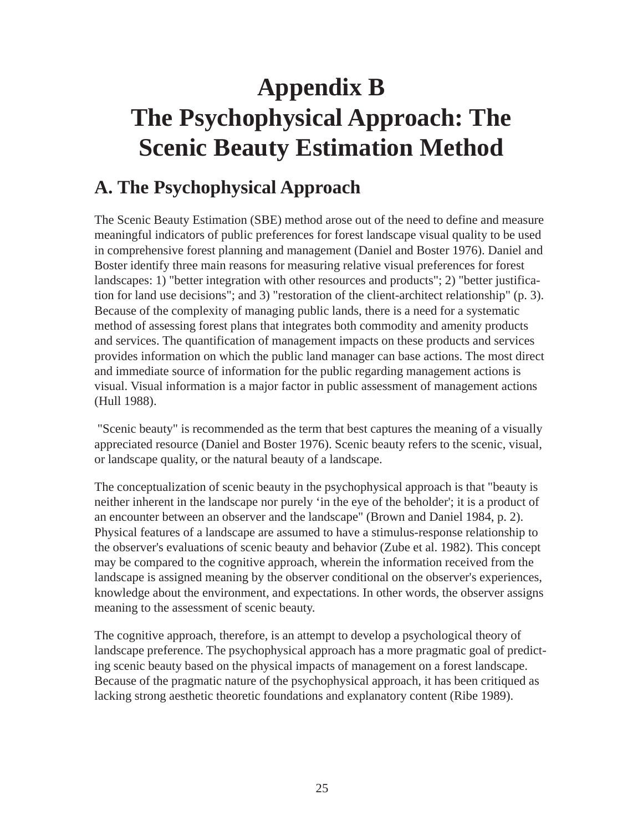## **Appendix B The Psychophysical Approach: The Scenic Beauty Estimation Method**

### **A. The Psychophysical Approach**

The Scenic Beauty Estimation (SBE) method arose out of the need to define and measure meaningful indicators of public preferences for forest landscape visual quality to be used in comprehensive forest planning and management (Daniel and Boster 1976). Daniel and Boster identify three main reasons for measuring relative visual preferences for forest landscapes: 1) "better integration with other resources and products"; 2) "better justification for land use decisions"; and 3) "restoration of the client-architect relationship" (p. 3). Because of the complexity of managing public lands, there is a need for a systematic method of assessing forest plans that integrates both commodity and amenity products and services. The quantification of management impacts on these products and services provides information on which the public land manager can base actions. The most direct and immediate source of information for the public regarding management actions is visual. Visual information is a major factor in public assessment of management actions (Hull 1988).

 "Scenic beauty" is recommended as the term that best captures the meaning of a visually appreciated resource (Daniel and Boster 1976). Scenic beauty refers to the scenic, visual, or landscape quality, or the natural beauty of a landscape.

The conceptualization of scenic beauty in the psychophysical approach is that "beauty is neither inherent in the landscape nor purely 'in the eye of the beholder'; it is a product of an encounter between an observer and the landscape" (Brown and Daniel 1984, p. 2). Physical features of a landscape are assumed to have a stimulus-response relationship to the observer's evaluations of scenic beauty and behavior (Zube et al. 1982). This concept may be compared to the cognitive approach, wherein the information received from the landscape is assigned meaning by the observer conditional on the observer's experiences, knowledge about the environment, and expectations. In other words, the observer assigns meaning to the assessment of scenic beauty.

The cognitive approach, therefore, is an attempt to develop a psychological theory of landscape preference. The psychophysical approach has a more pragmatic goal of predicting scenic beauty based on the physical impacts of management on a forest landscape. Because of the pragmatic nature of the psychophysical approach, it has been critiqued as lacking strong aesthetic theoretic foundations and explanatory content (Ribe 1989).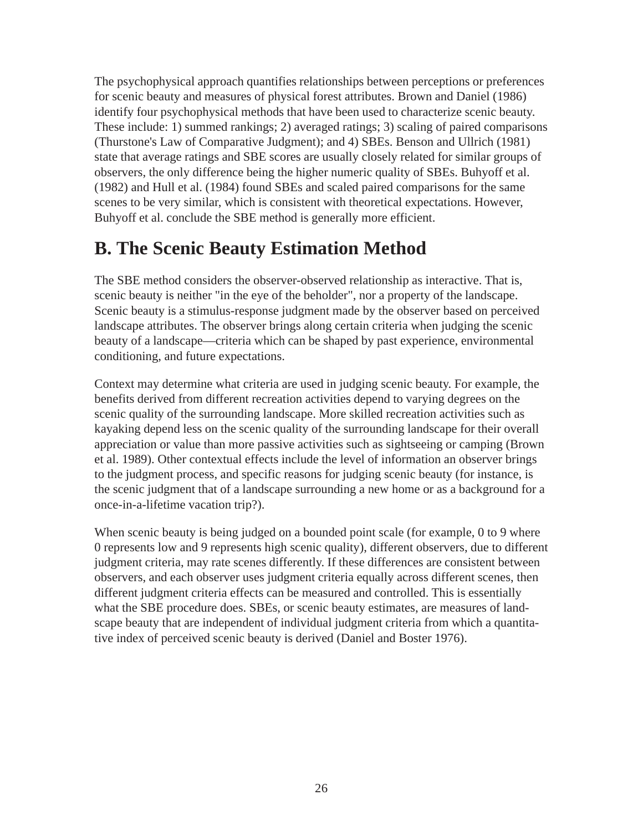The psychophysical approach quantifies relationships between perceptions or preferences for scenic beauty and measures of physical forest attributes. Brown and Daniel (1986) identify four psychophysical methods that have been used to characterize scenic beauty. These include: 1) summed rankings; 2) averaged ratings; 3) scaling of paired comparisons (Thurstone's Law of Comparative Judgment); and 4) SBEs. Benson and Ullrich (1981) state that average ratings and SBE scores are usually closely related for similar groups of observers, the only difference being the higher numeric quality of SBEs. Buhyoff et al. (1982) and Hull et al. (1984) found SBEs and scaled paired comparisons for the same scenes to be very similar, which is consistent with theoretical expectations. However, Buhyoff et al. conclude the SBE method is generally more efficient.

### **B. The Scenic Beauty Estimation Method**

The SBE method considers the observer-observed relationship as interactive. That is, scenic beauty is neither "in the eye of the beholder", nor a property of the landscape. Scenic beauty is a stimulus-response judgment made by the observer based on perceived landscape attributes. The observer brings along certain criteria when judging the scenic beauty of a landscape—criteria which can be shaped by past experience, environmental conditioning, and future expectations.

Context may determine what criteria are used in judging scenic beauty. For example, the benefits derived from different recreation activities depend to varying degrees on the scenic quality of the surrounding landscape. More skilled recreation activities such as kayaking depend less on the scenic quality of the surrounding landscape for their overall appreciation or value than more passive activities such as sightseeing or camping (Brown et al. 1989). Other contextual effects include the level of information an observer brings to the judgment process, and specific reasons for judging scenic beauty (for instance, is the scenic judgment that of a landscape surrounding a new home or as a background for a once-in-a-lifetime vacation trip?).

When scenic beauty is being judged on a bounded point scale (for example, 0 to 9 where 0 represents low and 9 represents high scenic quality), different observers, due to different judgment criteria, may rate scenes differently. If these differences are consistent between observers, and each observer uses judgment criteria equally across different scenes, then different judgment criteria effects can be measured and controlled. This is essentially what the SBE procedure does. SBEs, or scenic beauty estimates, are measures of landscape beauty that are independent of individual judgment criteria from which a quantitative index of perceived scenic beauty is derived (Daniel and Boster 1976).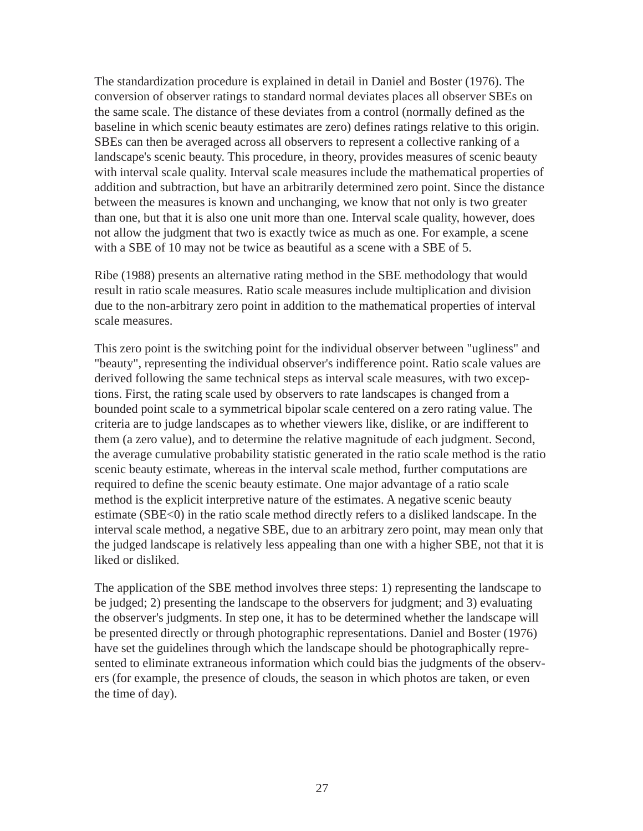The standardization procedure is explained in detail in Daniel and Boster (1976). The conversion of observer ratings to standard normal deviates places all observer SBEs on the same scale. The distance of these deviates from a control (normally defined as the baseline in which scenic beauty estimates are zero) defines ratings relative to this origin. SBEs can then be averaged across all observers to represent a collective ranking of a landscape's scenic beauty. This procedure, in theory, provides measures of scenic beauty with interval scale quality. Interval scale measures include the mathematical properties of addition and subtraction, but have an arbitrarily determined zero point. Since the distance between the measures is known and unchanging, we know that not only is two greater than one, but that it is also one unit more than one. Interval scale quality, however, does not allow the judgment that two is exactly twice as much as one. For example, a scene with a SBE of 10 may not be twice as beautiful as a scene with a SBE of 5.

Ribe (1988) presents an alternative rating method in the SBE methodology that would result in ratio scale measures. Ratio scale measures include multiplication and division due to the non-arbitrary zero point in addition to the mathematical properties of interval scale measures.

This zero point is the switching point for the individual observer between "ugliness" and "beauty", representing the individual observer's indifference point. Ratio scale values are derived following the same technical steps as interval scale measures, with two exceptions. First, the rating scale used by observers to rate landscapes is changed from a bounded point scale to a symmetrical bipolar scale centered on a zero rating value. The criteria are to judge landscapes as to whether viewers like, dislike, or are indifferent to them (a zero value), and to determine the relative magnitude of each judgment. Second, the average cumulative probability statistic generated in the ratio scale method is the ratio scenic beauty estimate, whereas in the interval scale method, further computations are required to define the scenic beauty estimate. One major advantage of a ratio scale method is the explicit interpretive nature of the estimates. A negative scenic beauty estimate (SBE<0) in the ratio scale method directly refers to a disliked landscape. In the interval scale method, a negative SBE, due to an arbitrary zero point, may mean only that the judged landscape is relatively less appealing than one with a higher SBE, not that it is liked or disliked.

The application of the SBE method involves three steps: 1) representing the landscape to be judged; 2) presenting the landscape to the observers for judgment; and 3) evaluating the observer's judgments. In step one, it has to be determined whether the landscape will be presented directly or through photographic representations. Daniel and Boster (1976) have set the guidelines through which the landscape should be photographically represented to eliminate extraneous information which could bias the judgments of the observers (for example, the presence of clouds, the season in which photos are taken, or even the time of day).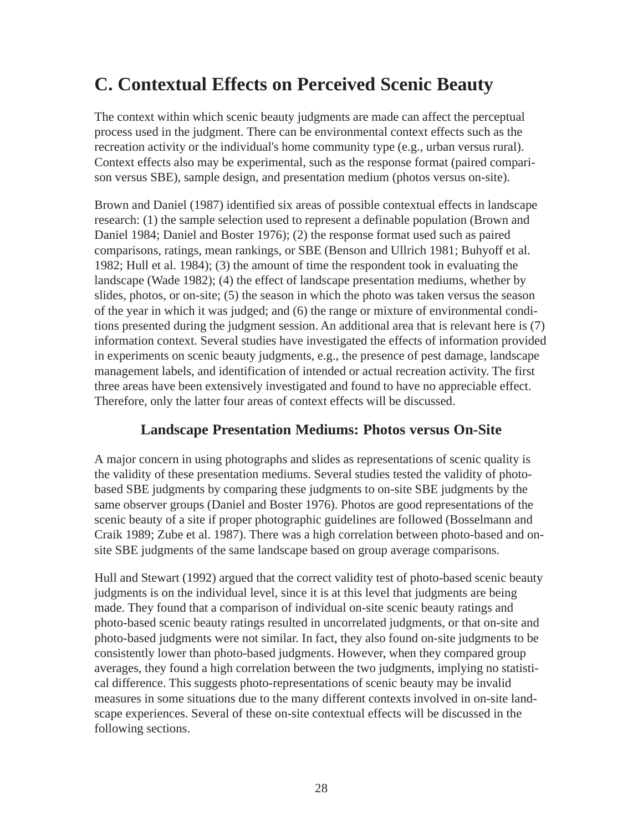### **C. Contextual Effects on Perceived Scenic Beauty**

The context within which scenic beauty judgments are made can affect the perceptual process used in the judgment. There can be environmental context effects such as the recreation activity or the individual's home community type (e.g., urban versus rural). Context effects also may be experimental, such as the response format (paired comparison versus SBE), sample design, and presentation medium (photos versus on-site).

Brown and Daniel (1987) identified six areas of possible contextual effects in landscape research: (1) the sample selection used to represent a definable population (Brown and Daniel 1984; Daniel and Boster 1976); (2) the response format used such as paired comparisons, ratings, mean rankings, or SBE (Benson and Ullrich 1981; Buhyoff et al. 1982; Hull et al. 1984); (3) the amount of time the respondent took in evaluating the landscape (Wade 1982); (4) the effect of landscape presentation mediums, whether by slides, photos, or on-site; (5) the season in which the photo was taken versus the season of the year in which it was judged; and (6) the range or mixture of environmental conditions presented during the judgment session. An additional area that is relevant here is (7) information context. Several studies have investigated the effects of information provided in experiments on scenic beauty judgments, e.g., the presence of pest damage, landscape management labels, and identification of intended or actual recreation activity. The first three areas have been extensively investigated and found to have no appreciable effect. Therefore, only the latter four areas of context effects will be discussed.

#### **Landscape Presentation Mediums: Photos versus On-Site**

A major concern in using photographs and slides as representations of scenic quality is the validity of these presentation mediums. Several studies tested the validity of photobased SBE judgments by comparing these judgments to on-site SBE judgments by the same observer groups (Daniel and Boster 1976). Photos are good representations of the scenic beauty of a site if proper photographic guidelines are followed (Bosselmann and Craik 1989; Zube et al. 1987). There was a high correlation between photo-based and onsite SBE judgments of the same landscape based on group average comparisons.

Hull and Stewart (1992) argued that the correct validity test of photo-based scenic beauty judgments is on the individual level, since it is at this level that judgments are being made. They found that a comparison of individual on-site scenic beauty ratings and photo-based scenic beauty ratings resulted in uncorrelated judgments, or that on-site and photo-based judgments were not similar. In fact, they also found on-site judgments to be consistently lower than photo-based judgments. However, when they compared group averages, they found a high correlation between the two judgments, implying no statistical difference. This suggests photo-representations of scenic beauty may be invalid measures in some situations due to the many different contexts involved in on-site landscape experiences. Several of these on-site contextual effects will be discussed in the following sections.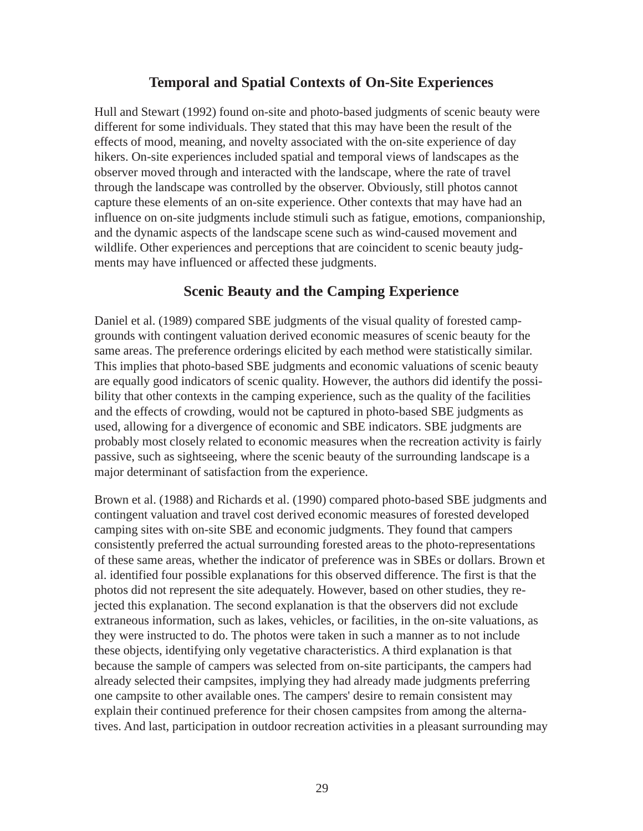#### **Temporal and Spatial Contexts of On-Site Experiences**

Hull and Stewart (1992) found on-site and photo-based judgments of scenic beauty were different for some individuals. They stated that this may have been the result of the effects of mood, meaning, and novelty associated with the on-site experience of day hikers. On-site experiences included spatial and temporal views of landscapes as the observer moved through and interacted with the landscape, where the rate of travel through the landscape was controlled by the observer. Obviously, still photos cannot capture these elements of an on-site experience. Other contexts that may have had an influence on on-site judgments include stimuli such as fatigue, emotions, companionship, and the dynamic aspects of the landscape scene such as wind-caused movement and wildlife. Other experiences and perceptions that are coincident to scenic beauty judgments may have influenced or affected these judgments.

#### **Scenic Beauty and the Camping Experience**

Daniel et al. (1989) compared SBE judgments of the visual quality of forested campgrounds with contingent valuation derived economic measures of scenic beauty for the same areas. The preference orderings elicited by each method were statistically similar. This implies that photo-based SBE judgments and economic valuations of scenic beauty are equally good indicators of scenic quality. However, the authors did identify the possibility that other contexts in the camping experience, such as the quality of the facilities and the effects of crowding, would not be captured in photo-based SBE judgments as used, allowing for a divergence of economic and SBE indicators. SBE judgments are probably most closely related to economic measures when the recreation activity is fairly passive, such as sightseeing, where the scenic beauty of the surrounding landscape is a major determinant of satisfaction from the experience.

Brown et al. (1988) and Richards et al. (1990) compared photo-based SBE judgments and contingent valuation and travel cost derived economic measures of forested developed camping sites with on-site SBE and economic judgments. They found that campers consistently preferred the actual surrounding forested areas to the photo-representations of these same areas, whether the indicator of preference was in SBEs or dollars. Brown et al. identified four possible explanations for this observed difference. The first is that the photos did not represent the site adequately. However, based on other studies, they rejected this explanation. The second explanation is that the observers did not exclude extraneous information, such as lakes, vehicles, or facilities, in the on-site valuations, as they were instructed to do. The photos were taken in such a manner as to not include these objects, identifying only vegetative characteristics. A third explanation is that because the sample of campers was selected from on-site participants, the campers had already selected their campsites, implying they had already made judgments preferring one campsite to other available ones. The campers' desire to remain consistent may explain their continued preference for their chosen campsites from among the alternatives. And last, participation in outdoor recreation activities in a pleasant surrounding may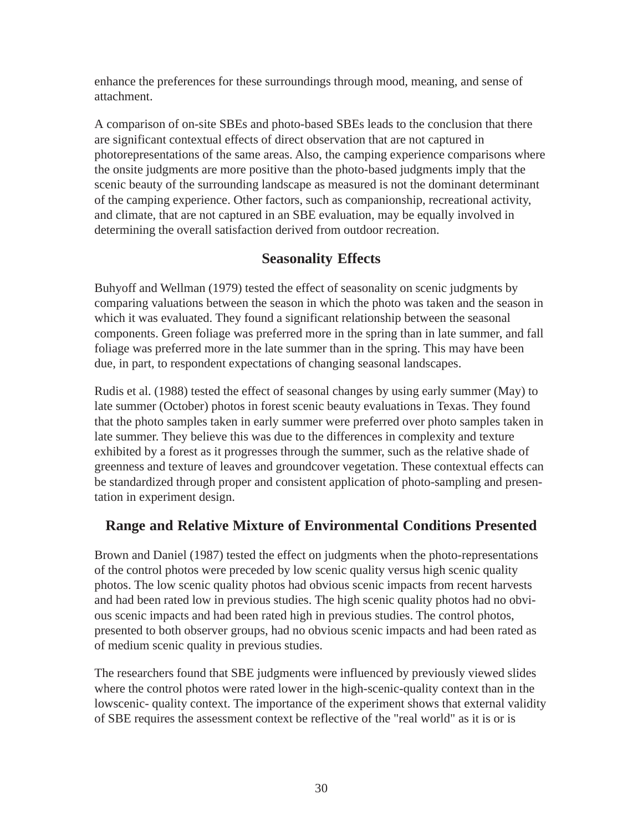enhance the preferences for these surroundings through mood, meaning, and sense of attachment.

A comparison of on-site SBEs and photo-based SBEs leads to the conclusion that there are significant contextual effects of direct observation that are not captured in photorepresentations of the same areas. Also, the camping experience comparisons where the onsite judgments are more positive than the photo-based judgments imply that the scenic beauty of the surrounding landscape as measured is not the dominant determinant of the camping experience. Other factors, such as companionship, recreational activity, and climate, that are not captured in an SBE evaluation, may be equally involved in determining the overall satisfaction derived from outdoor recreation.

#### **Seasonality Effects**

Buhyoff and Wellman (1979) tested the effect of seasonality on scenic judgments by comparing valuations between the season in which the photo was taken and the season in which it was evaluated. They found a significant relationship between the seasonal components. Green foliage was preferred more in the spring than in late summer, and fall foliage was preferred more in the late summer than in the spring. This may have been due, in part, to respondent expectations of changing seasonal landscapes.

Rudis et al. (1988) tested the effect of seasonal changes by using early summer (May) to late summer (October) photos in forest scenic beauty evaluations in Texas. They found that the photo samples taken in early summer were preferred over photo samples taken in late summer. They believe this was due to the differences in complexity and texture exhibited by a forest as it progresses through the summer, such as the relative shade of greenness and texture of leaves and groundcover vegetation. These contextual effects can be standardized through proper and consistent application of photo-sampling and presentation in experiment design.

#### **Range and Relative Mixture of Environmental Conditions Presented**

Brown and Daniel (1987) tested the effect on judgments when the photo-representations of the control photos were preceded by low scenic quality versus high scenic quality photos. The low scenic quality photos had obvious scenic impacts from recent harvests and had been rated low in previous studies. The high scenic quality photos had no obvious scenic impacts and had been rated high in previous studies. The control photos, presented to both observer groups, had no obvious scenic impacts and had been rated as of medium scenic quality in previous studies.

The researchers found that SBE judgments were influenced by previously viewed slides where the control photos were rated lower in the high-scenic-quality context than in the lowscenic- quality context. The importance of the experiment shows that external validity of SBE requires the assessment context be reflective of the "real world" as it is or is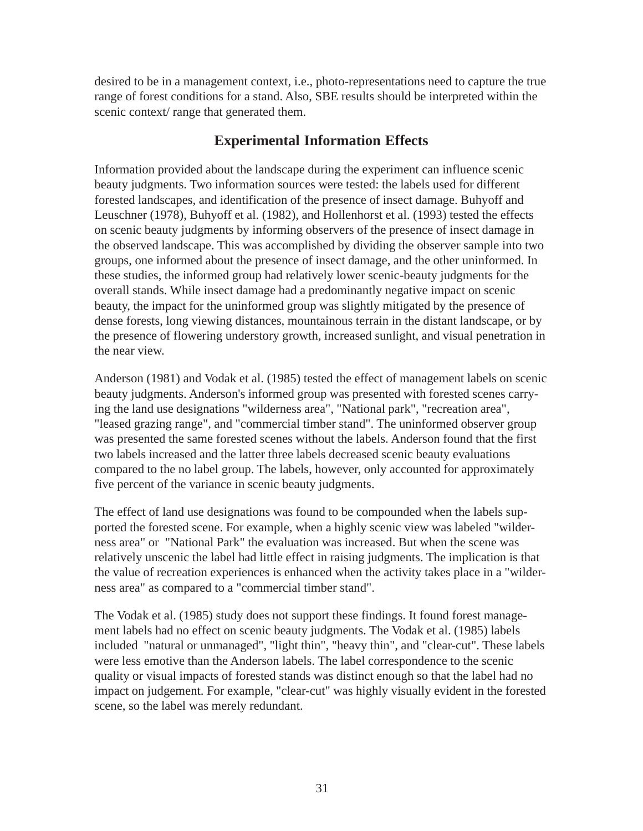desired to be in a management context, i.e., photo-representations need to capture the true range of forest conditions for a stand. Also, SBE results should be interpreted within the scenic context/ range that generated them.

#### **Experimental Information Effects**

Information provided about the landscape during the experiment can influence scenic beauty judgments. Two information sources were tested: the labels used for different forested landscapes, and identification of the presence of insect damage. Buhyoff and Leuschner (1978), Buhyoff et al. (1982), and Hollenhorst et al. (1993) tested the effects on scenic beauty judgments by informing observers of the presence of insect damage in the observed landscape. This was accomplished by dividing the observer sample into two groups, one informed about the presence of insect damage, and the other uninformed. In these studies, the informed group had relatively lower scenic-beauty judgments for the overall stands. While insect damage had a predominantly negative impact on scenic beauty, the impact for the uninformed group was slightly mitigated by the presence of dense forests, long viewing distances, mountainous terrain in the distant landscape, or by the presence of flowering understory growth, increased sunlight, and visual penetration in the near view.

Anderson (1981) and Vodak et al. (1985) tested the effect of management labels on scenic beauty judgments. Anderson's informed group was presented with forested scenes carrying the land use designations "wilderness area", "National park", "recreation area", "leased grazing range", and "commercial timber stand". The uninformed observer group was presented the same forested scenes without the labels. Anderson found that the first two labels increased and the latter three labels decreased scenic beauty evaluations compared to the no label group. The labels, however, only accounted for approximately five percent of the variance in scenic beauty judgments.

The effect of land use designations was found to be compounded when the labels supported the forested scene. For example, when a highly scenic view was labeled "wilderness area" or "National Park" the evaluation was increased. But when the scene was relatively unscenic the label had little effect in raising judgments. The implication is that the value of recreation experiences is enhanced when the activity takes place in a "wilderness area" as compared to a "commercial timber stand".

The Vodak et al. (1985) study does not support these findings. It found forest management labels had no effect on scenic beauty judgments. The Vodak et al. (1985) labels included "natural or unmanaged", "light thin", "heavy thin", and "clear-cut". These labels were less emotive than the Anderson labels. The label correspondence to the scenic quality or visual impacts of forested stands was distinct enough so that the label had no impact on judgement. For example, "clear-cut" was highly visually evident in the forested scene, so the label was merely redundant.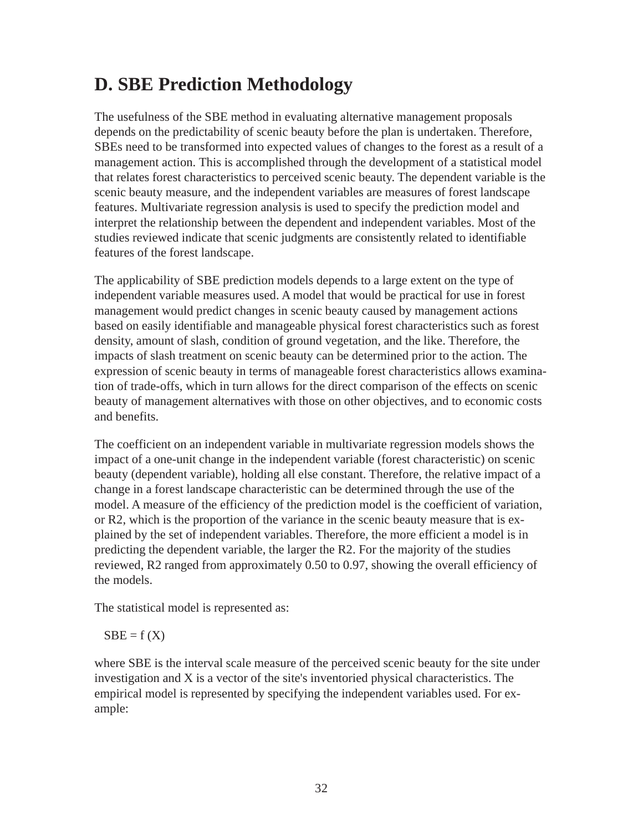### **D. SBE Prediction Methodology**

The usefulness of the SBE method in evaluating alternative management proposals depends on the predictability of scenic beauty before the plan is undertaken. Therefore, SBEs need to be transformed into expected values of changes to the forest as a result of a management action. This is accomplished through the development of a statistical model that relates forest characteristics to perceived scenic beauty. The dependent variable is the scenic beauty measure, and the independent variables are measures of forest landscape features. Multivariate regression analysis is used to specify the prediction model and interpret the relationship between the dependent and independent variables. Most of the studies reviewed indicate that scenic judgments are consistently related to identifiable features of the forest landscape.

The applicability of SBE prediction models depends to a large extent on the type of independent variable measures used. A model that would be practical for use in forest management would predict changes in scenic beauty caused by management actions based on easily identifiable and manageable physical forest characteristics such as forest density, amount of slash, condition of ground vegetation, and the like. Therefore, the impacts of slash treatment on scenic beauty can be determined prior to the action. The expression of scenic beauty in terms of manageable forest characteristics allows examination of trade-offs, which in turn allows for the direct comparison of the effects on scenic beauty of management alternatives with those on other objectives, and to economic costs and benefits.

The coefficient on an independent variable in multivariate regression models shows the impact of a one-unit change in the independent variable (forest characteristic) on scenic beauty (dependent variable), holding all else constant. Therefore, the relative impact of a change in a forest landscape characteristic can be determined through the use of the model. A measure of the efficiency of the prediction model is the coefficient of variation, or R2, which is the proportion of the variance in the scenic beauty measure that is explained by the set of independent variables. Therefore, the more efficient a model is in predicting the dependent variable, the larger the R2. For the majority of the studies reviewed, R2 ranged from approximately 0.50 to 0.97, showing the overall efficiency of the models.

The statistical model is represented as:

 $SBE = f(X)$ 

where SBE is the interval scale measure of the perceived scenic beauty for the site under investigation and X is a vector of the site's inventoried physical characteristics. The empirical model is represented by specifying the independent variables used. For example: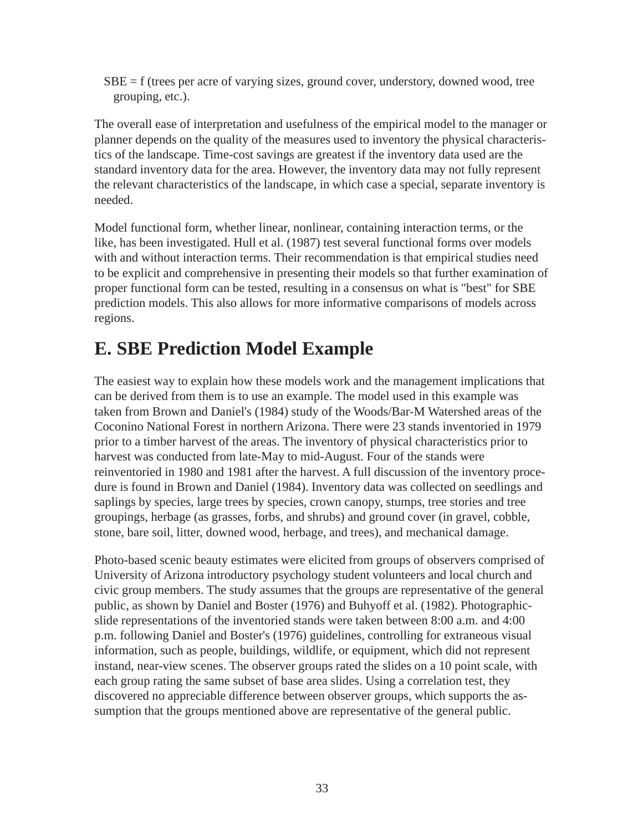$SBE = f$  (trees per acre of varying sizes, ground cover, understory, downed wood, tree grouping, etc.).

The overall ease of interpretation and usefulness of the empirical model to the manager or planner depends on the quality of the measures used to inventory the physical characteristics of the landscape. Time-cost savings are greatest if the inventory data used are the standard inventory data for the area. However, the inventory data may not fully represent the relevant characteristics of the landscape, in which case a special, separate inventory is needed.

Model functional form, whether linear, nonlinear, containing interaction terms, or the like, has been investigated. Hull et al. (1987) test several functional forms over models with and without interaction terms. Their recommendation is that empirical studies need to be explicit and comprehensive in presenting their models so that further examination of proper functional form can be tested, resulting in a consensus on what is "best" for SBE prediction models. This also allows for more informative comparisons of models across regions.

### **E. SBE Prediction Model Example**

The easiest way to explain how these models work and the management implications that can be derived from them is to use an example. The model used in this example was taken from Brown and Daniel's (1984) study of the Woods/Bar-M Watershed areas of the Coconino National Forest in northern Arizona. There were 23 stands inventoried in 1979 prior to a timber harvest of the areas. The inventory of physical characteristics prior to harvest was conducted from late-May to mid-August. Four of the stands were reinventoried in 1980 and 1981 after the harvest. A full discussion of the inventory procedure is found in Brown and Daniel (1984). Inventory data was collected on seedlings and saplings by species, large trees by species, crown canopy, stumps, tree stories and tree groupings, herbage (as grasses, forbs, and shrubs) and ground cover (in gravel, cobble, stone, bare soil, litter, downed wood, herbage, and trees), and mechanical damage.

Photo-based scenic beauty estimates were elicited from groups of observers comprised of University of Arizona introductory psychology student volunteers and local church and civic group members. The study assumes that the groups are representative of the general public, as shown by Daniel and Boster (1976) and Buhyoff et al. (1982). Photographicslide representations of the inventoried stands were taken between 8:00 a.m. and 4:00 p.m. following Daniel and Boster's (1976) guidelines, controlling for extraneous visual information, such as people, buildings, wildlife, or equipment, which did not represent instand, near-view scenes. The observer groups rated the slides on a 10 point scale, with each group rating the same subset of base area slides. Using a correlation test, they discovered no appreciable difference between observer groups, which supports the assumption that the groups mentioned above are representative of the general public.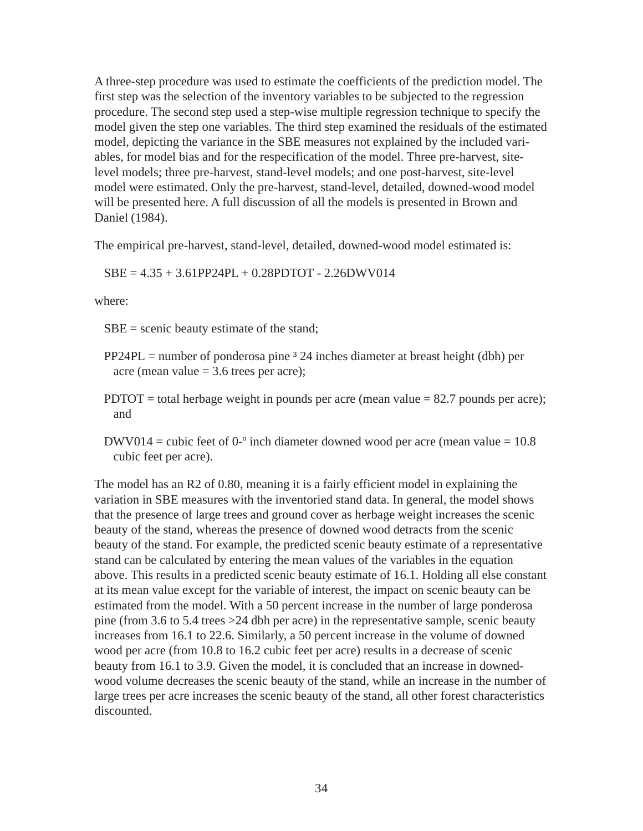A three-step procedure was used to estimate the coefficients of the prediction model. The first step was the selection of the inventory variables to be subjected to the regression procedure. The second step used a step-wise multiple regression technique to specify the model given the step one variables. The third step examined the residuals of the estimated model, depicting the variance in the SBE measures not explained by the included variables, for model bias and for the respecification of the model. Three pre-harvest, sitelevel models; three pre-harvest, stand-level models; and one post-harvest, site-level model were estimated. Only the pre-harvest, stand-level, detailed, downed-wood model will be presented here. A full discussion of all the models is presented in Brown and Daniel (1984).

The empirical pre-harvest, stand-level, detailed, downed-wood model estimated is:

 $SBE = 4.35 + 3.61PP24PL + 0.28PDTOT - 2.26DWV014$ 

where:

SBE = scenic beauty estimate of the stand;

- $PP24PL =$  number of ponderosa pine  $3\,24$  inches diameter at breast height (dbh) per acre (mean value  $= 3.6$  trees per acre);
- PDTOT = total herbage weight in pounds per acre (mean value  $= 82.7$  pounds per acre); and
- DWV014 = cubic feet of  $0^{-\circ}$  inch diameter downed wood per acre (mean value = 10.8) cubic feet per acre).

The model has an R2 of 0.80, meaning it is a fairly efficient model in explaining the variation in SBE measures with the inventoried stand data. In general, the model shows that the presence of large trees and ground cover as herbage weight increases the scenic beauty of the stand, whereas the presence of downed wood detracts from the scenic beauty of the stand. For example, the predicted scenic beauty estimate of a representative stand can be calculated by entering the mean values of the variables in the equation above. This results in a predicted scenic beauty estimate of 16.1. Holding all else constant at its mean value except for the variable of interest, the impact on scenic beauty can be estimated from the model. With a 50 percent increase in the number of large ponderosa pine (from 3.6 to 5.4 trees >24 dbh per acre) in the representative sample, scenic beauty increases from 16.1 to 22.6. Similarly, a 50 percent increase in the volume of downed wood per acre (from 10.8 to 16.2 cubic feet per acre) results in a decrease of scenic beauty from 16.1 to 3.9. Given the model, it is concluded that an increase in downedwood volume decreases the scenic beauty of the stand, while an increase in the number of large trees per acre increases the scenic beauty of the stand, all other forest characteristics discounted.